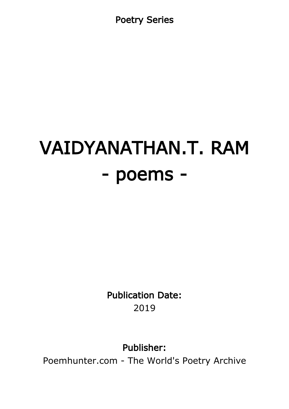Poetry Series

# VAIDYANATHAN.T. RAM - poems -

Publication Date: 2019

Publisher:

Poemhunter.com - The World's Poetry Archive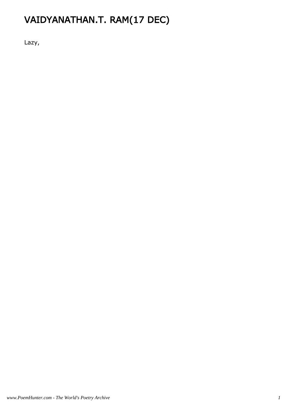# VAIDYANATHAN.T. RAM(17 DEC)

Lazy,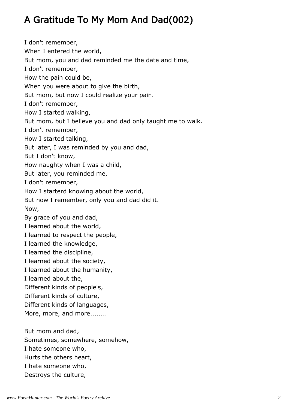# A Gratitude To My Mom And Dad(002)

I don't remember, When I entered the world, But mom, you and dad reminded me the date and time, I don't remember, How the pain could be, When you were about to give the birth, But mom, but now I could realize your pain. I don't remember, How I started walking, But mom, but I believe you and dad only taught me to walk. I don't remember, How I started talking, But later, I was reminded by you and dad, But I don't know, How naughty when I was a child, But later, you reminded me, I don't remember, How I starterd knowing about the world, But now I remember, only you and dad did it. Now, By grace of you and dad, I learned about the world, I learned to respect the people, I learned the knowledge, I learned the discipline, I learned about the society, I learned about the humanity, I learned about the, Different kinds of people's, Different kinds of culture, Different kinds of languages, More, more, and more........ But mom and dad, Sometimes, somewhere, somehow,

*www.PoemHunter.com - The World's Poetry Archive 2*

I hate someone who, Hurts the others heart, I hate someone who, Destroys the culture,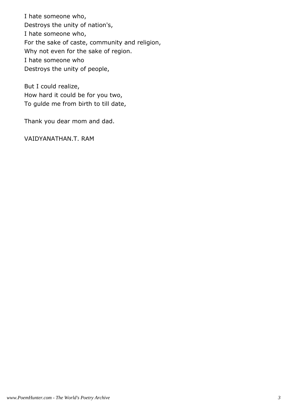I hate someone who, Destroys the unity of nation's, I hate someone who, For the sake of caste, community and religion, Why not even for the sake of region. I hate someone who Destroys the unity of people,

But I could realize, How hard it could be for you two, To gulde me from birth to till date,

Thank you dear mom and dad.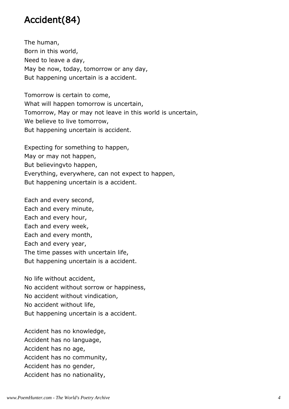#### Accident(84)

The human, Born in this world, Need to leave a day, May be now, today, tomorrow or any day, But happening uncertain is a accident.

Tomorrow is certain to come, What will happen tomorrow is uncertain, Tomorrow, May or may not leave in this world is uncertain, We believe to live tomorrow, But happening uncertain is accident.

Expecting for something to happen, May or may not happen, But believingvto happen, Everything, everywhere, can not expect to happen, But happening uncertain is a accident.

Each and every second, Each and every minute, Each and every hour, Each and every week, Each and every month, Each and every year, The time passes with uncertain life, But happening uncertain is a accident.

No life without accident, No accident without sorrow or happiness, No accident without vindication, No accident without life, But happening uncertain is a accident.

Accident has no knowledge, Accident has no language, Accident has no age, Accident has no community, Accident has no gender, Accident has no nationality,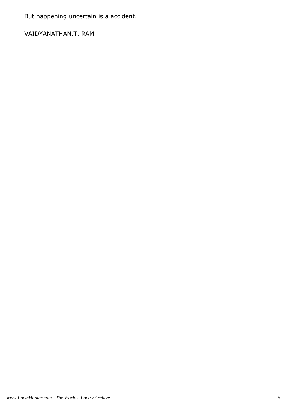But happening uncertain is a accident.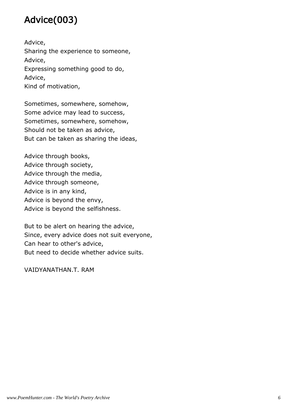## Advice(003)

Advice, Sharing the experience to someone, Advice, Expressing something good to do, Advice, Kind of motivation,

Sometimes, somewhere, somehow, Some advice may lead to success, Sometimes, somewhere, somehow, Should not be taken as advice, But can be taken as sharing the ideas,

Advice through books, Advice through society, Advice through the media, Advice through someone, Advice is in any kind, Advice is beyond the envy, Advice is beyond the selfishness.

But to be alert on hearing the advice, Since, every advice does not suit everyone, Can hear to other's advice, But need to decide whether advice suits.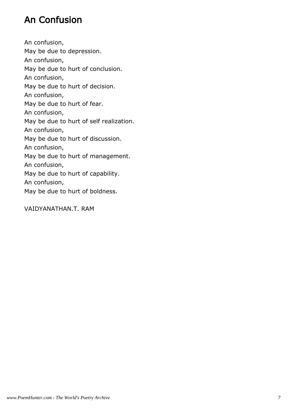#### An Confusion

An confusion, May be due to depression. An confusion, May be due to hurt of conclusion. An confusion, May be due to hurt of decision. An confusion, May be due to hurt of fear. An confusion, May be due to hurt of self realization. An confusion, May be due to hurt of discussion. An confusion, May be due to hurt of management. An confusion, May be due to hurt of capability. An confusion, May be due to hurt of boldness.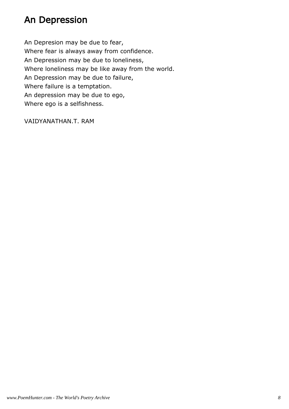#### An Depression

An Depresion may be due to fear, Where fear is always away from confidence. An Depression may be due to loneliness, Where loneliness may be like away from the world. An Depression may be due to failure, Where failure is a temptation. An depression may be due to ego, Where ego is a selfishness.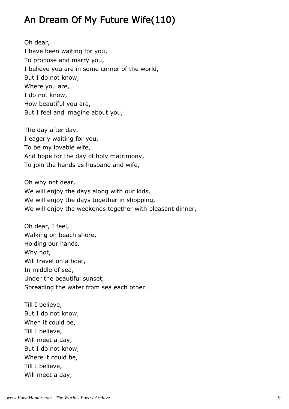#### An Dream Of My Future Wife(110)

Oh dear, I have been waiting for you, To propose and marry you, I believe you are in some corner of the world, But I do not know, Where you are, I do not know, How beautiful you are, But I feel and imagine about you,

The day after day, I eagerly waiting for you, To be my lovable wife, And hope for the day of holy matrimony, To join the hands as husband and wife,

Oh why not dear, We will enjoy the days along with our kids, We will enjoy the days together in shopping, We will enjoy the weekends together with pleasant dinner,

Oh dear, I feel, Walking on beach shore, Holding our hands. Why not, Will travel on a boat, In middle of sea, Under the beautiful sunset, Spreading the water from sea each other.

Till I believe, But I do not know, When it could be, Till I believe, Will meet a day, But I do not know, Where it could be, Till I believe, Will meet a day,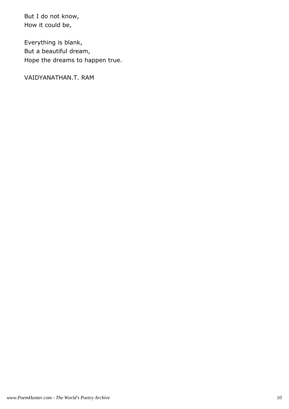But I do not know, How it could be,

Everything is blank, But a beautiful dream, Hope the dreams to happen true.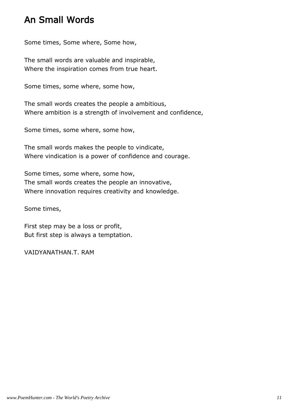#### An Small Words

Some times, Some where, Some how,

The small words are valuable and inspirable, Where the inspiration comes from true heart.

Some times, some where, some how,

The small words creates the people a ambitious, Where ambition is a strength of involvement and confidence,

Some times, some where, some how,

The small words makes the people to vindicate, Where vindication is a power of confidence and courage.

Some times, some where, some how, The small words creates the people an innovative, Where innovation requires creativity and knowledge.

Some times,

First step may be a loss or profit, But first step is always a temptation.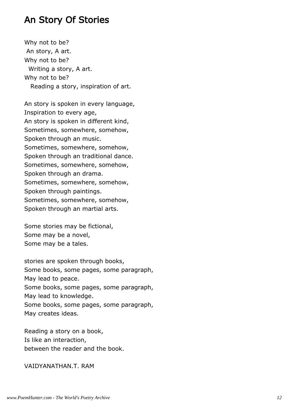#### An Story Of Stories

Why not to be? An story, A art. Why not to be? Writing a story, A art. Why not to be? Reading a story, inspiration of art.

An story is spoken in every language, Inspiration to every age, An story is spoken in different kind, Sometimes, somewhere, somehow, Spoken through an music. Sometimes, somewhere, somehow, Spoken through an traditional dance. Sometimes, somewhere, somehow, Spoken through an drama. Sometimes, somewhere, somehow, Spoken through paintings. Sometimes, somewhere, somehow, Spoken through an martial arts.

Some stories may be fictional, Some may be a novel, Some may be a tales.

stories are spoken through books, Some books, some pages, some paragraph, May lead to peace. Some books, some pages, some paragraph, May lead to knowledge. Some books, some pages, some paragraph, May creates ideas.

Reading a story on a book, Is like an interaction, between the reader and the book.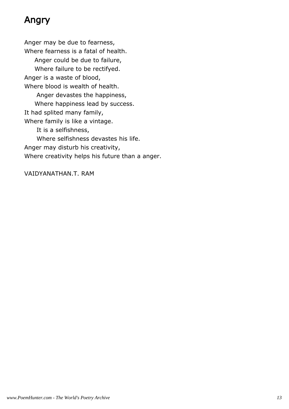## Angry

Anger may be due to fearness, Where fearness is a fatal of health. Anger could be due to failure, Where failure to be rectifyed. Anger is a waste of blood, Where blood is wealth of health. Anger devastes the happiness, Where happiness lead by success. It had splited many family, Where family is like a vintage. It is a selfishness, Where selfishness devastes his life. Anger may disturb his creativity, Where creativity helps his future than a anger.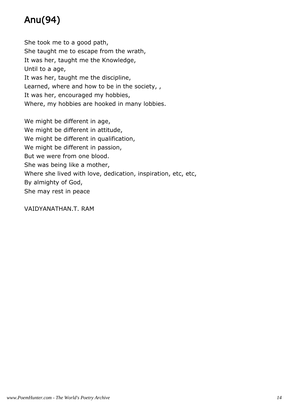# Anu(94)

She took me to a good path, She taught me to escape from the wrath, It was her, taught me the Knowledge, Until to a age, It was her, taught me the discipline, Learned, where and how to be in the society, , It was her, encouraged my hobbies, Where, my hobbies are hooked in many lobbies.

We might be different in age, We might be different in attitude, We might be different in qualification, We might be different in passion, But we were from one blood. She was being like a mother, Where she lived with love, dedication, inspiration, etc, etc, By almighty of God, She may rest in peace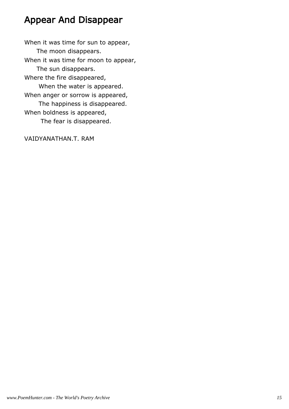#### Appear And Disappear

When it was time for sun to appear, The moon disappears. When it was time for moon to appear, The sun disappears. Where the fire disappeared, When the water is appeared. When anger or sorrow is appeared, The happiness is disappeared. When boldness is appeared, The fear is disappeared. VAIDYANATHAN.T. RAM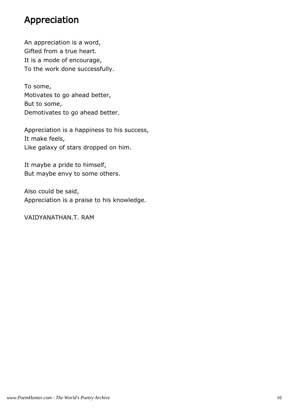#### Appreciation

An appreciation is a word, Gifted from a true heart. It is a mode of encourage, To the work done successfully.

To some, Motivates to go ahead better, But to some, Demotivates to go ahead better.

Appreciation is a happiness to his success, It make feels, Like galaxy of stars dropped on him.

It maybe a pride to himself, But maybe envy to some others.

Also could be said, Appreciation is a praise to his knowledge.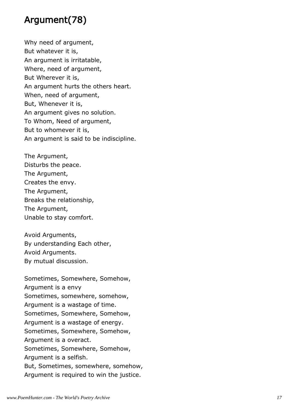#### Argument(78)

Why need of argument, But whatever it is, An argument is irritatable, Where, need of argument, But Wherever it is, An argument hurts the others heart. When, need of argument, But, Whenever it is, An argument gives no solution. To Whom, Need of argument, But to whomever it is, An argument is said to be indiscipline.

The Argument, Disturbs the peace. The Argument, Creates the envy. The Argument, Breaks the relationship, The Argument, Unable to stay comfort.

Avoid Arguments, By understanding Each other, Avoid Arguments. By mutual discussion.

Sometimes, Somewhere, Somehow, Argument is a envy Sometimes, somewhere, somehow, Argument is a wastage of time. Sometimes, Somewhere, Somehow, Argument is a wastage of energy. Sometimes, Somewhere, Somehow, Argument is a overact. Sometimes, Somewhere, Somehow, Argument is a selfish. But, Sometimes, somewhere, somehow, Argument is required to win the justice.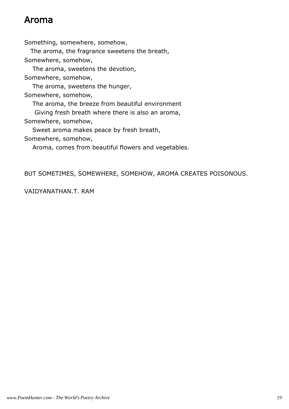#### Aroma

Something, somewhere, somehow, The aroma, the fragrance sweetens the breath, Somewhere, somehow, The aroma, sweetens the devotion, Somewhere, somehow, The aroma, sweetens the hunger, Somewhere, somehow, The aroma, the breeze from beautiful environment Giving fresh breath where there is also an aroma, Somewhere, somehow, Sweet aroma makes peace by fresh breath, Somewhere, somehow, Aroma, comes from beautiful flowers and vegetables.

BUT SOMETIMES, SOMEWHERE, SOMEHOW, AROMA CREATES POISONOUS.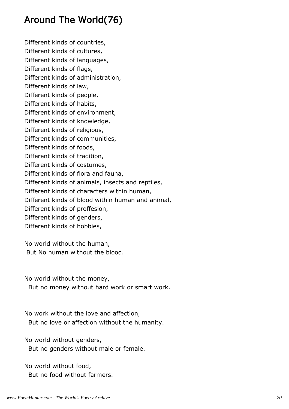#### Around The World(76)

Different kinds of countries, Different kinds of cultures, Different kinds of languages, Different kinds of flags, Different kinds of administration, Different kinds of law, Different kinds of people, Different kinds of habits, Different kinds of environment, Different kinds of knowledge, Different kinds of religious, Different kinds of communities, Different kinds of foods, Different kinds of tradition, Different kinds of costumes, Different kinds of flora and fauna, Different kinds of animals, insects and reptiles, Different kinds of characters within human, Different kinds of blood within human and animal, Different kinds of proffesion, Different kinds of genders, Different kinds of hobbies,

No world without the human, But No human without the blood.

No world without the money,

But no money without hard work or smart work.

No work without the love and affection, But no love or affection without the humanity.

No world without genders, But no genders without male or female.

No world without food, But no food without farmers.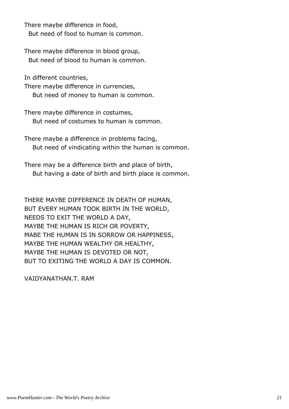There maybe difference in food, But need of food to human is common.

There maybe difference in blood group, But need of blood to human is common.

In different countries,

There maybe difference in currencies, But need of money to human is common.

There maybe difference in costumes, But need of costumes to human is common.

There maybe a difference in problems facing, But need of vindicating within the human is common.

There may be a difference birth and place of birth, But having a date of birth and birth place is common.

THERE MAYBE DIFFERENCE IN DEATH OF HUMAN, BUT EVERY HUMAN TOOK BIRTH IN THE WORLD, NEEDS TO EXIT THE WORLD A DAY, MAYBE THE HUMAN IS RICH OR POVERTY, MABE THE HUMAN IS IN SORROW OR HAPPINESS, MAYBE THE HUMAN WEALTHY OR HEALTHY, MAYBE THE HUMAN IS DEVOTED OR NOT, BUT TO EXITING THE WORLD A DAY IS COMMON.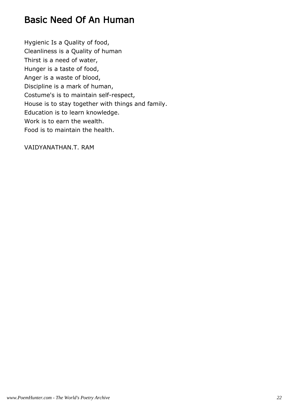#### Basic Need Of An Human

Hygienic Is a Quality of food, Cleanliness is a Quality of human Thirst is a need of water, Hunger is a taste of food, Anger is a waste of blood, Discipline is a mark of human, Costume's is to maintain self-respect, House is to stay together with things and family. Education is to learn knowledge. Work is to earn the wealth. Food is to maintain the health.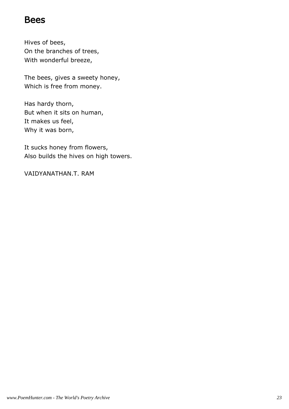#### Bees

Hives of bees, On the branches of trees, With wonderful breeze,

The bees, gives a sweety honey, Which is free from money.

Has hardy thorn, But when it sits on human, It makes us feel, Why it was born,

It sucks honey from flowers, Also builds the hives on high towers.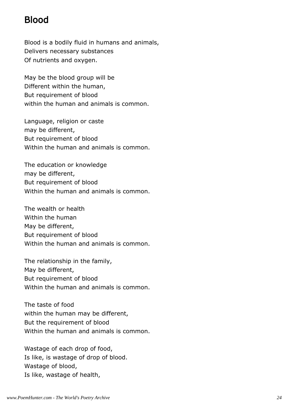#### Blood

Blood is a bodily fluid in humans and animals, Delivers necessary substances Of nutrients and oxygen.

May be the blood group will be Different within the human, But requirement of blood within the human and animals is common.

Language, religion or caste may be different, But requirement of blood Within the human and animals is common.

The education or knowledge may be different, But requirement of blood Within the human and animals is common.

The wealth or health Within the human May be different, But requirement of blood Within the human and animals is common.

The relationship in the family, May be different, But requirement of blood Within the human and animals is common.

The taste of food within the human may be different, But the requirement of blood Within the human and animals is common.

Wastage of each drop of food, Is like, is wastage of drop of blood. Wastage of blood, Is like, wastage of health,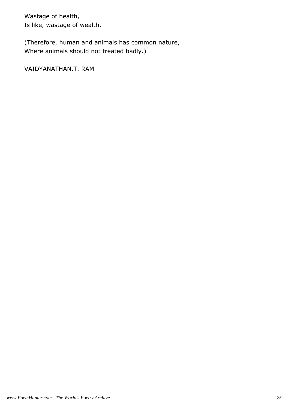Wastage of health, Is like, wastage of wealth.

(Therefore, human and animals has common nature, Where animals should not treated badly.)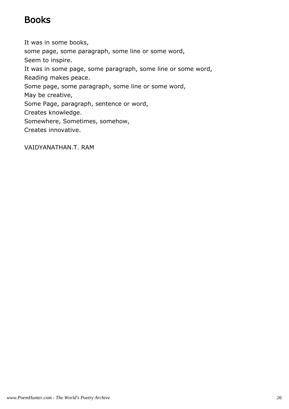#### Books

It was in some books, some page, some paragraph, some line or some word, Seem to inspire. It was in some page, some paragraph, some line or some word, Reading makes peace. Some page, some paragraph, some line or some word, May be creative, Some Page, paragraph, sentence or word, Creates knowledge. Somewhere, Sometimes, somehow, Creates innovative.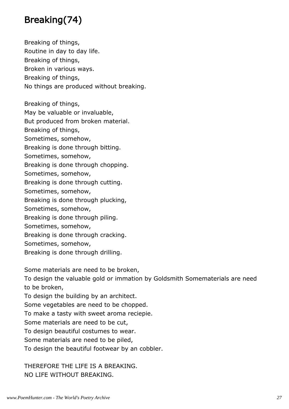## Breaking(74)

Breaking of things, Routine in day to day life. Breaking of things, Broken in various ways. Breaking of things, No things are produced without breaking.

Breaking of things,

May be valuable or invaluable,

But produced from broken material.

Breaking of things,

Sometimes, somehow,

Breaking is done through bitting.

Sometimes, somehow,

Breaking is done through chopping.

Sometimes, somehow,

Breaking is done through cutting.

Sometimes, somehow,

Breaking is done through plucking,

Sometimes, somehow,

Breaking is done through piling.

Sometimes, somehow,

Breaking is done through cracking.

Sometimes, somehow,

Breaking is done through drilling.

Some materials are need to be broken,

To design the valuable gold or immation by Goldsmith Somematerials are need to be broken,

To design the building by an architect.

Some vegetables are need to be chopped.

To make a tasty with sweet aroma reciepie.

Some materials are need to be cut,

To design beautiful costumes to wear.

Some materials are need to be piled,

To design the beautiful footwear by an cobbler.

THEREFORE THE LIFE IS A BREAKING. NO LIFE WITHOUT BREAKING.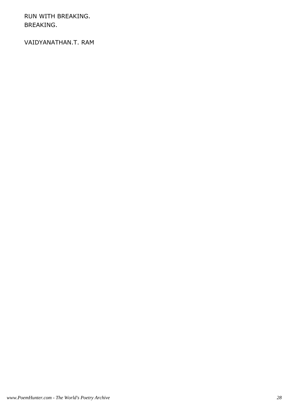RUN WITH BREAKING. BREAKING.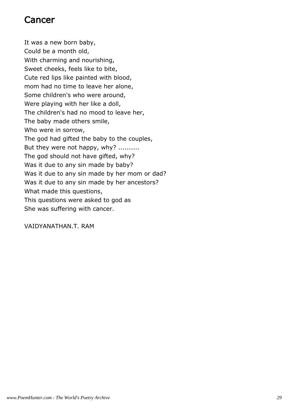#### Cancer

It was a new born baby, Could be a month old, With charming and nourishing, Sweet cheeks, feels like to bite, Cute red lips like painted with blood, mom had no time to leave her alone, Some children's who were around, Were playing with her like a doll, The children's had no mood to leave her, The baby made others smile, Who were in sorrow, The god had gifted the baby to the couples, But they were not happy, why? .......... The god should not have gifted, why? Was it due to any sin made by baby? Was it due to any sin made by her mom or dad? Was it due to any sin made by her ancestors? What made this questions, This questions were asked to god as She was suffering with cancer.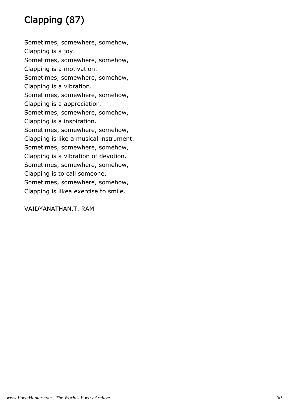# Clapping (87)

Sometimes, somewhere, somehow, Clapping is a joy. Sometimes, somewhere, somehow, Clapping is a motivation. Sometimes, somewhere, somehow, Clapping is a vibration. Sometimes, somewhere, somehow, Clapping is a appreciation. Sometimes, somewhere, somehow, Clapping is a inspiration. Sometimes, somewhere, somehow, Clapping is like a musical instrument. Sometimes, somewhere, somehow, Clapping is a vibration of devotion. Sometimes, somewhere, somehow, Clapping is to call someone. Sometimes, somewhere, somehow, Clapping is likea exercise to smile.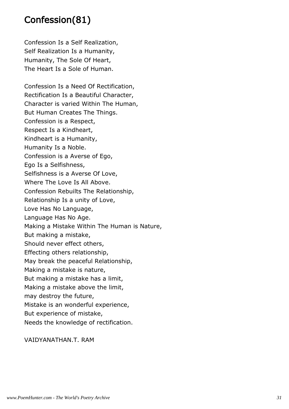#### Confession(81)

Confession Is a Self Realization, Self Realization Is a Humanity, Humanity, The Sole Of Heart, The Heart Is a Sole of Human.

Confession Is a Need Of Rectification, Rectification Is a Beautiful Character, Character is varied Within The Human, But Human Creates The Things. Confession is a Respect, Respect Is a Kindheart, Kindheart is a Humanity, Humanity Is a Noble. Confession is a Averse of Ego, Ego Is a Selfishness, Selfishness is a Averse Of Love, Where The Love Is All Above. Confession Rebuilts The Relationship, Relationship Is a unity of Love, Love Has No Language, Language Has No Age. Making a Mistake Within The Human is Nature, But making a mistake, Should never effect others, Effecting others relationship, May break the peaceful Relationship, Making a mistake is nature, But making a mistake has a limit, Making a mistake above the limit, may destroy the future, Mistake is an wonderful experience, But experience of mistake, Needs the knowledge of rectification.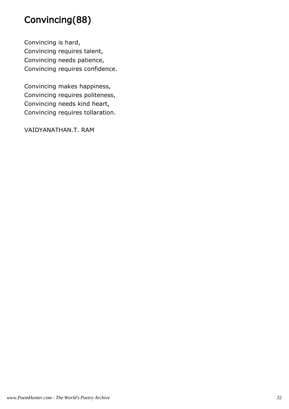## Convincing(88)

Convincing is hard, Convincing requires talent, Convincing needs patience, Convincing requires confidence.

Convincing makes happiness, Convincing requires politeness, Convincing needs kind heart, Convincing requires tollaration.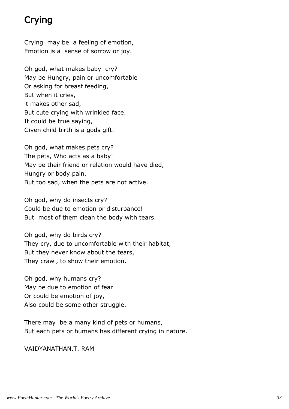## Crying

Crying may be a feeling of emotion, Emotion is a sense of sorrow or joy.

Oh god, what makes baby cry? May be Hungry, pain or uncomfortable Or asking for breast feeding, But when it cries, it makes other sad, But cute crying with wrinkled face. It could be true saying, Given child birth is a gods gift.

Oh god, what makes pets cry? The pets, Who acts as a baby! May be their friend or relation would have died, Hungry or body pain. But too sad, when the pets are not active.

Oh god, why do insects cry? Could be due to emotion or disturbance! But most of them clean the body with tears.

Oh god, why do birds cry? They cry, due to uncomfortable with their habitat, But they never know about the tears, They crawl, to show their emotion.

Oh god, why humans cry? May be due to emotion of fear Or could be emotion of joy, Also could be some other struggle.

There may be a many kind of pets or humans, But each pets or humans has different crying in nature.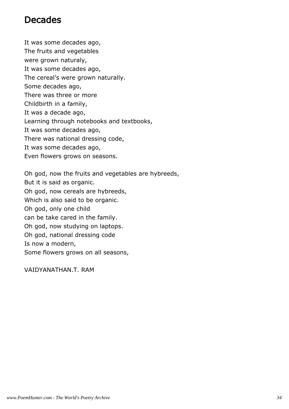#### Decades

It was some decades ago, The fruits and vegetables were grown naturaly, It was some decades ago, The cereal's were grown naturally. Some decades ago, There was three or more Childbirth in a family, It was a decade ago, Learning through notebooks and textbooks, It was some decades ago, There was national dressing code, It was some decades ago, Even flowers grows on seasons.

Oh god, now the fruits and vegetables are hybreeds, But it is said as organic. Oh god, now cereals are hybreeds, Which is also said to be organic. Oh god, only one child can be take cared in the family. Oh god, now studying on laptops. Oh god, national dressing code Is now a modern, Some flowers grows on all seasons,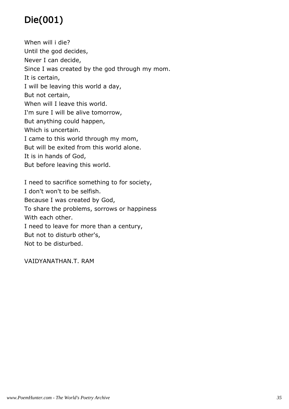# Die(001)

When will i die? Until the god decides, Never I can decide, Since I was created by the god through my mom. It is certain, I will be leaving this world a day, But not certain, When will I leave this world. I'm sure I will be alive tomorrow, But anything could happen, Which is uncertain. I came to this world through my mom, But will be exited from this world alone. It is in hands of God, But before leaving this world.

I need to sacrifice something to for society, I don't won't to be selfish. Because I was created by God, To share the problems, sorrows or happiness With each other. I need to leave for more than a century, But not to disturb other's, Not to be disturbed.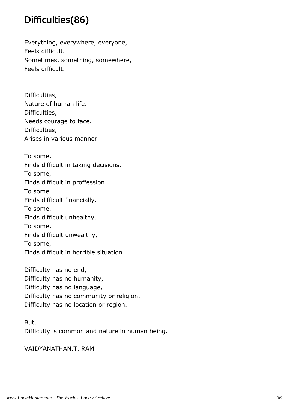#### Difficulties(86)

Everything, everywhere, everyone, Feels difficult. Sometimes, something, somewhere, Feels difficult.

Difficulties, Nature of human life. Difficulties, Needs courage to face. Difficulties, Arises in various manner.

To some, Finds difficult in taking decisions. To some, Finds difficult in proffession. To some, Finds difficult financially. To some, Finds difficult unhealthy, To some, Finds difficult unwealthy, To some, Finds difficult in horrible situation.

Difficulty has no end, Difficulty has no humanity, Difficulty has no language, Difficulty has no community or religion, Difficulty has no location or region.

But, Difficulty is common and nature in human being.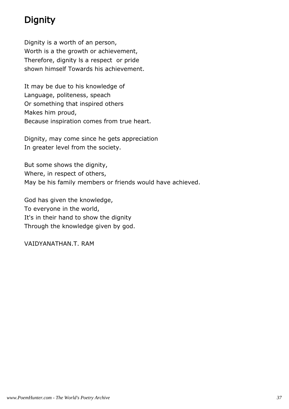#### **Dignity**

Dignity is a worth of an person, Worth is a the growth or achievement, Therefore, dignity ls a respect or pride shown himself Towards his achievement.

It may be due to his knowledge of Language, politeness, speach Or something that inspired others Makes him proud, Because inspiration comes from true heart.

Dignity, may come since he gets appreciation In greater level from the society.

But some shows the dignity, Where, in respect of others, May be his family members or friends would have achieved.

God has given the knowledge, To everyone in the world, It's in their hand to show the dignity Through the knowledge given by god.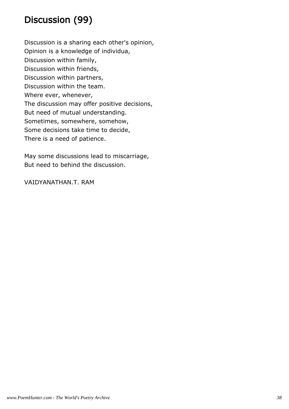### Discussion (99)

Discussion is a sharing each other's opinion, Opinion is a knowledge of individua, Discussion within family, Discussion within friends, Discussion within partners, Discussion within the team. Where ever, whenever, The discussion may offer positive decisions, But need of mutual understanding. Sometimes, somewhere, somehow, Some decisions take time to decide, There is a need of patience.

May some discussions lead to miscarriage, But need to behind the discussion.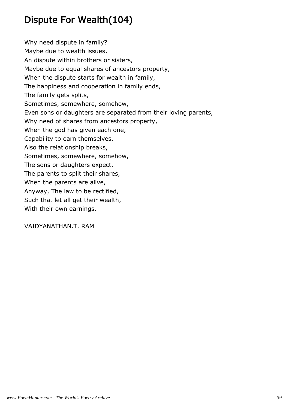## Dispute For Wealth(104)

Why need dispute in family? Maybe due to wealth issues, An dispute within brothers or sisters, Maybe due to equal shares of ancestors property, When the dispute starts for wealth in family, The happiness and cooperation in family ends, The family gets splits, Sometimes, somewhere, somehow, Even sons or daughters are separated from their loving parents, Why need of shares from ancestors property, When the god has given each one, Capability to earn themselves, Also the relationship breaks, Sometimes, somewhere, somehow, The sons or daughters expect, The parents to split their shares, When the parents are alive, Anyway, The law to be rectified, Such that let all get their wealth, With their own earnings.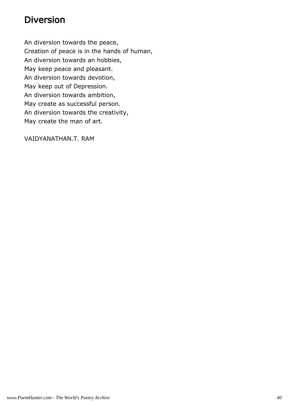#### Diversion

An diversion towards the peace, Creation of peace is in the hands of human, An diversion towards an hobbies, May keep peace and pleasant. An diversion towards devotion, May keep out of Depression. An diversion towards ambition, May create as successful person. An diversion towards the creativity, May create the man of art.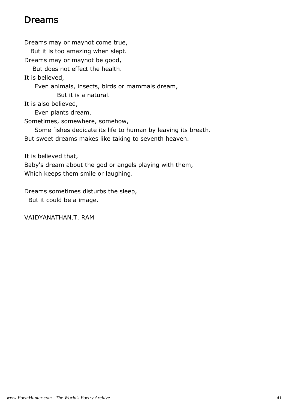#### Dreams

Dreams may or maynot come true, But it is too amazing when slept. Dreams may or maynot be good, But does not effect the health. It is believed, Even animals, insects, birds or mammals dream, But it is a natural. It is also believed, Even plants dream. Sometimes, somewhere, somehow, Some fishes dedicate its life to human by leaving its breath. But sweet dreams makes like taking to seventh heaven. It is believed that, Baby's dream about the god or angels playing with them, Which keeps them smile or laughing.

Dreams sometimes disturbs the sleep,

But it could be a image.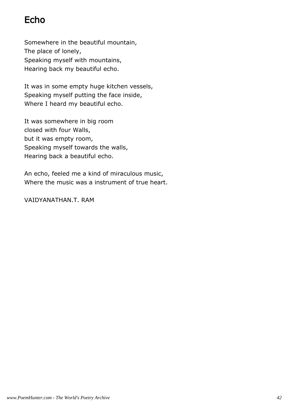#### Echo

Somewhere in the beautiful mountain, The place of lonely, Speaking myself with mountains, Hearing back my beautiful echo.

It was in some empty huge kitchen vessels, Speaking myself putting the face inside, Where I heard my beautiful echo.

It was somewhere in big room closed with four Walls, but it was empty room, Speaking myself towards the walls, Hearing back a beautiful echo.

An echo, feeled me a kind of miraculous music, Where the music was a instrument of true heart.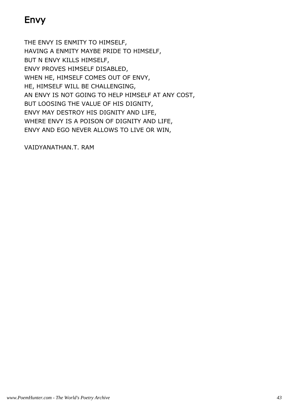## Envy

THE ENVY IS ENMITY TO HIMSELF, HAVING A ENMITY MAYBE PRIDE TO HIMSELF, BUT N ENVY KILLS HIMSELF, ENVY PROVES HIMSELF DISABLED, WHEN HE, HIMSELF COMES OUT OF ENVY, HE, HIMSELF WILL BE CHALLENGING, AN ENVY IS NOT GOING TO HELP HIMSELF AT ANY COST, BUT LOOSING THE VALUE OF HIS DIGNITY, ENVY MAY DESTROY HIS DIGNITY AND LIFE, WHERE ENVY IS A POISON OF DIGNITY AND LIFE, ENVY AND EGO NEVER ALLOWS TO LIVE OR WIN,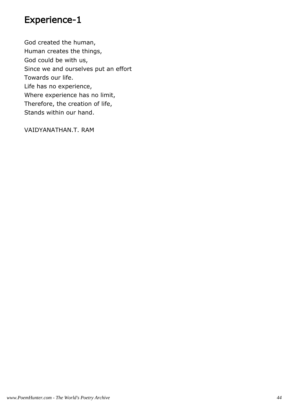#### Experience-1

God created the human, Human creates the things, God could be with us, Since we and ourselves put an effort Towards our life. Life has no experience, Where experience has no limit, Therefore, the creation of life, Stands within our hand.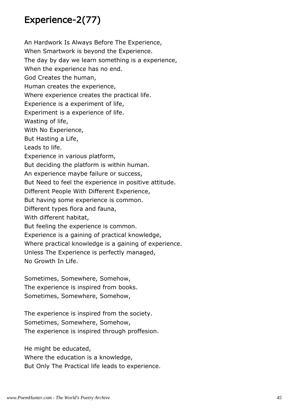#### Experience-2(77)

An Hardwork Is Always Before The Experience, When Smartwork is beyond the Experience. The day by day we learn something is a experience, When the experience has no end. God Creates the human, Human creates the experience, Where experience creates the practical life. Experience is a experiment of life, Experiment is a experience of life. Wasting of life, With No Experience, But Hasting a Life, Leads to life. Experience in various platform, But deciding the platform is within human. An experience maybe failure or success, But Need to feel the experience in positive attitude. Different People With Different Experience, But having some experience is common. Different types flora and fauna, With different habitat, But feeling the experience is common. Experience is a gaining of practical knowledge, Where practical knowledge is a gaining of experience. Unless The Experience is perfectly managed, No Growth In Life.

Sometimes, Somewhere, Somehow, The experience is inspired from books. Sometimes, Somewhere, Somehow,

The experience is inspired from the society. Sometimes, Somewhere, Somehow, The experience is inspired through proffesion.

He might be educated,

Where the education is a knowledge,

But Only The Practical life leads to experience.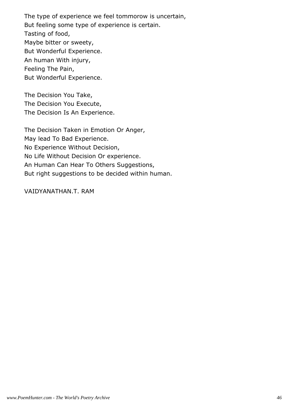The type of experience we feel tommorow is uncertain, But feeling some type of experience is certain. Tasting of food, Maybe bitter or sweety, But Wonderful Experience. An human With injury, Feeling The Pain, But Wonderful Experience.

The Decision You Take, The Decision You Execute, The Decision Is An Experience.

The Decision Taken in Emotion Or Anger, May lead To Bad Experience. No Experience Without Decision, No Life Without Decision Or experience. An Human Can Hear To Others Suggestions, But right suggestions to be decided within human.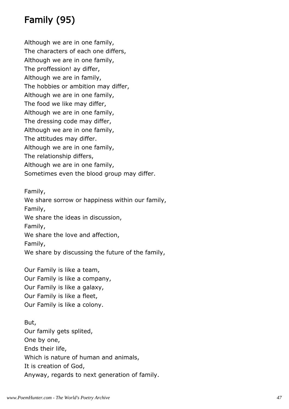## Family (95)

Although we are in one family, The characters of each one differs, Although we are in one family, The proffession! ay differ, Although we are in family, The hobbies or ambition may differ, Although we are in one family, The food we like may differ, Although we are in one family, The dressing code may differ, Although we are in one family, The attitudes may differ. Although we are in one family, The relationship differs, Although we are in one family, Sometimes even the blood group may differ.

Family, We share sorrow or happiness within our family, Family, We share the ideas in discussion, Family, We share the love and affection, Family, We share by discussing the future of the family,

Our Family is like a team, Our Family is like a company, Our Family is like a galaxy, Our Family is like a fleet, Our Family is like a colony.

But, Our family gets splited, One by one, Ends their life, Which is nature of human and animals, It is creation of God, Anyway, regards to next generation of family.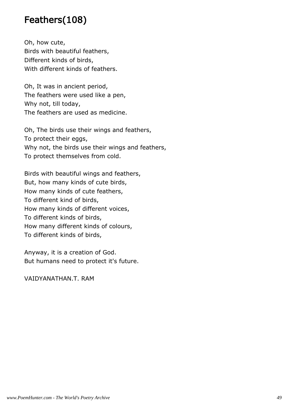#### Feathers(108)

Oh, how cute, Birds with beautiful feathers, Different kinds of birds, With different kinds of feathers.

Oh, It was in ancient period, The feathers were used like a pen, Why not, till today, The feathers are used as medicine.

Oh, The birds use their wings and feathers, To protect their eggs, Why not, the birds use their wings and feathers, To protect themselves from cold.

Birds with beautiful wings and feathers, But, how many kinds of cute birds, How many kinds of cute feathers, To different kind of birds, How many kinds of different voices, To different kinds of birds, How many different kinds of colours, To different kinds of birds,

Anyway, it is a creation of God. But humans need to protect it's future.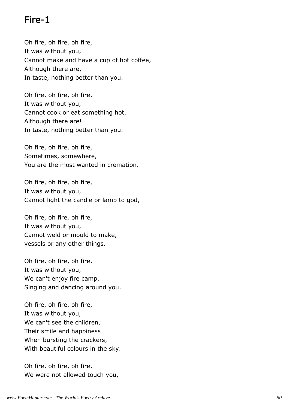#### Fire-1

Oh fire, oh fire, oh fire, It was without you, Cannot make and have a cup of hot coffee, Although there are, In taste, nothing better than you.

Oh fire, oh fire, oh fire, It was without you, Cannot cook or eat something hot, Although there are! In taste, nothing better than you.

Oh fire, oh fire, oh fire, Sometimes, somewhere, You are the most wanted in cremation.

Oh fire, oh fire, oh fire, It was without you, Cannot light the candle or lamp to god,

Oh fire, oh fire, oh fire, It was without you, Cannot weld or mould to make, vessels or any other things.

Oh fire, oh fire, oh fire, It was without you, We can't enjoy fire camp, Singing and dancing around you.

Oh fire, oh fire, oh fire, It was without you, We can't see the children, Their smile and happiness When bursting the crackers, With beautiful colours in the sky.

Oh fire, oh fire, oh fire, We were not allowed touch you,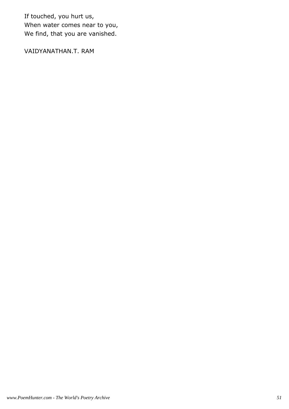If touched, you hurt us, When water comes near to you, We find, that you are vanished.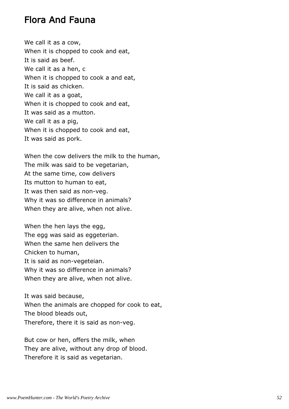#### Flora And Fauna

We call it as a cow, When it is chopped to cook and eat, It is said as beef. We call it as a hen, c When it is chopped to cook a and eat, It is said as chicken. We call it as a goat, When it is chopped to cook and eat, It was said as a mutton. We call it as a pig, When it is chopped to cook and eat, It was said as pork.

When the cow delivers the milk to the human, The milk was said to be vegetarian, At the same time, cow delivers Its mutton to human to eat, It was then said as non-veg. Why it was so difference in animals? When they are alive, when not alive.

When the hen lays the egg, The egg was said as eggeterian. When the same hen delivers the Chicken to human, It is said as non-vegeteian. Why it was so difference in animals? When they are alive, when not alive.

It was said because, When the animals are chopped for cook to eat, The blood bleads out, Therefore, there it is said as non-veg.

But cow or hen, offers the milk, when They are alive, without any drop of blood. Therefore it is said as vegetarian.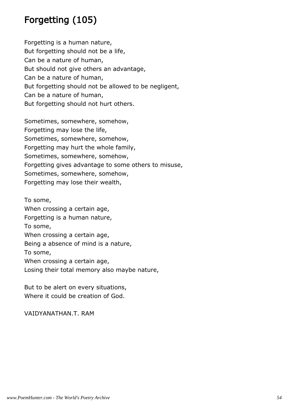#### Forgetting (105)

Forgetting is a human nature, But forgetting should not be a life, Can be a nature of human, But should not give others an advantage, Can be a nature of human, But forgetting should not be allowed to be negligent, Can be a nature of human, But forgetting should not hurt others.

Sometimes, somewhere, somehow, Forgetting may lose the life, Sometimes, somewhere, somehow, Forgetting may hurt the whole family, Sometimes, somewhere, somehow, Forgetting gives advantage to some others to misuse, Sometimes, somewhere, somehow, Forgetting may lose their wealth,

To some, When crossing a certain age, Forgetting is a human nature, To some, When crossing a certain age, Being a absence of mind is a nature, To some, When crossing a certain age, Losing their total memory also maybe nature,

But to be alert on every situations, Where it could be creation of God.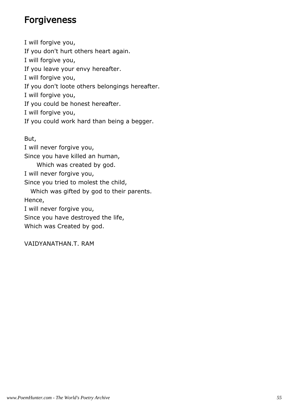#### Forgiveness

I will forgive you, If you don't hurt others heart again. I will forgive you, If you leave your envy hereafter. I will forgive you, If you don't loote others belongings hereafter. I will forgive you, If you could be honest hereafter. I will forgive you, If you could work hard than being a begger.

But, I will never forgive you, Since you have killed an human, Which was created by god. I will never forgive you, Since you tried to molest the child, Which was gifted by god to their parents. Hence, I will never forgive you, Since you have destroyed the life, Which was Created by god.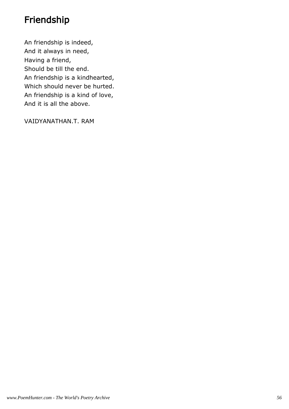#### Friendship

An friendship is indeed, And it always in need, Having a friend, Should be till the end. An friendship is a kindhearted, Which should never be hurted. An friendship is a kind of love, And it is all the above.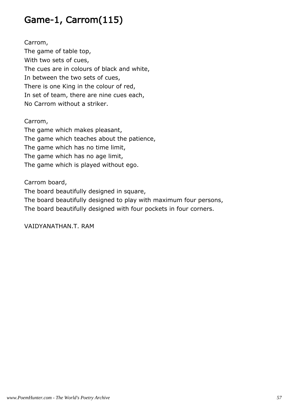#### Game-1, Carrom(115)

Carrom, The game of table top, With two sets of cues, The cues are in colours of black and white, In between the two sets of cues, There is one King in the colour of red, In set of team, there are nine cues each, No Carrom without a striker.

Carrom,

The game which makes pleasant, The game which teaches about the patience, The game which has no time limit, The game which has no age limit, The game which is played without ego.

Carrom board,

The board beautifully designed in square, The board beautifully designed to play with maximum four persons, The board beautifully designed with four pockets in four corners.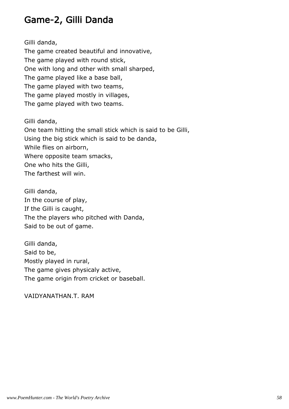#### Game-2, Gilli Danda

Gilli danda, The game created beautiful and innovative, The game played with round stick, One with long and other with small sharped, The game played like a base ball, The game played with two teams, The game played mostly in villages, The game played with two teams.

Gilli danda, One team hitting the small stick which is said to be Gilli, Using the big stick which is said to be danda, While flies on airborn, Where opposite team smacks, One who hits the Gilli, The farthest will win.

Gilli danda, In the course of play, If the Gilli is caught, The the players who pitched with Danda, Said to be out of game.

Gilli danda, Said to be, Mostly played in rural, The game gives physicaly active, The game origin from cricket or baseball.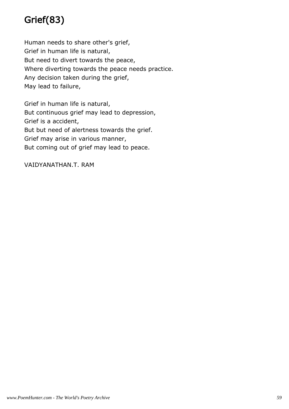## Grief(83)

Human needs to share other's grief, Grief in human life is natural, But need to divert towards the peace, Where diverting towards the peace needs practice. Any decision taken during the grief, May lead to failure,

Grief in human life is natural, But continuous grief may lead to depression, Grief is a accident, But but need of alertness towards the grief. Grief may arise in various manner, But coming out of grief may lead to peace.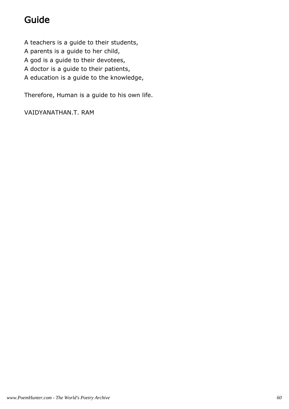## Guide

A teachers is a guide to their students, A parents is a guide to her child, A god is a guide to their devotees, A doctor is a guide to their patients, A education is a guide to the knowledge,

Therefore, Human is a guide to his own life.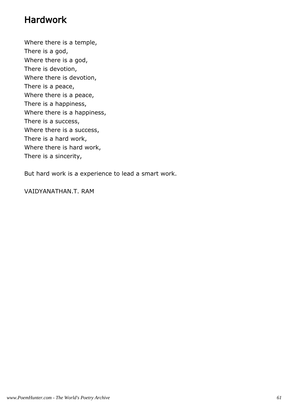#### Hardwork

Where there is a temple, There is a god, Where there is a god, There is devotion, Where there is devotion, There is a peace, Where there is a peace, There is a happiness, Where there is a happiness, There is a success, Where there is a success, There is a hard work, Where there is hard work, There is a sincerity,

But hard work is a experience to lead a smart work.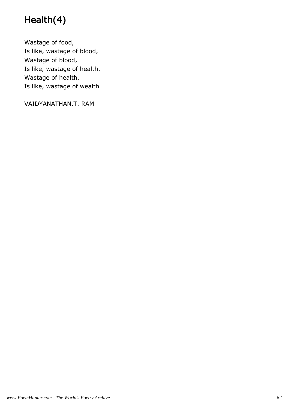## Health(4)

Wastage of food, Is like, wastage of blood, Wastage of blood, Is like, wastage of health, Wastage of health, Is like, wastage of wealth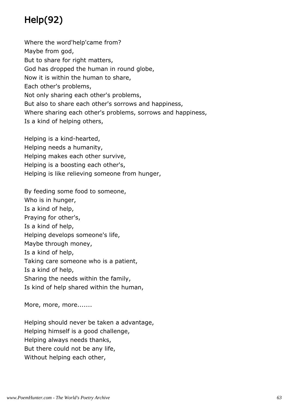# Help(92)

Where the word'help'came from? Maybe from god, But to share for right matters, God has dropped the human in round globe, Now it is within the human to share, Each other's problems, Not only sharing each other's problems, But also to share each other's sorrows and happiness, Where sharing each other's problems, sorrows and happiness, Is a kind of helping others,

Helping is a kind-hearted, Helping needs a humanity, Helping makes each other survive, Helping is a boosting each other's, Helping is like relieving someone from hunger,

By feeding some food to someone, Who is in hunger, Is a kind of help, Praying for other's, Is a kind of help, Helping develops someone's life, Maybe through money, Is a kind of help, Taking care someone who is a patient, Is a kind of help, Sharing the needs within the family, Is kind of help shared within the human,

More, more, more.......

Helping should never be taken a advantage, Helping himself is a good challenge, Helping always needs thanks, But there could not be any life, Without helping each other,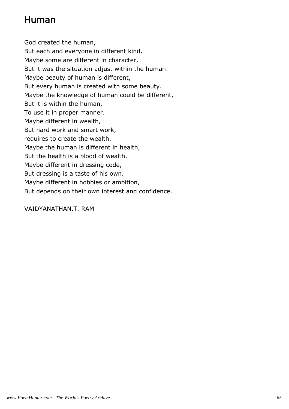#### Human

God created the human, But each and everyone in different kind. Maybe some are different in character, But it was the situation adjust within the human. Maybe beauty of human is different, But every human is created with some beauty. Maybe the knowledge of human could be different, But it is within the human, To use it in proper manner. Maybe different in wealth, But hard work and smart work, requires to create the wealth. Maybe the human is different in health, But the health is a blood of wealth. Maybe different in dressing code, But dressing is a taste of his own. Maybe different in hobbies or ambition, But depends on their own interest and confidence.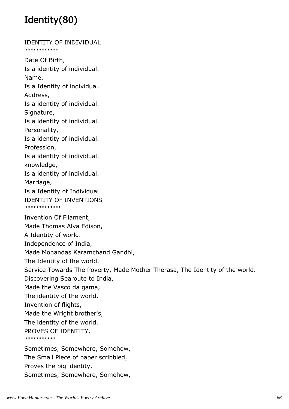## Identity(80)

IDENTITY OF INDIVIDUAL ''''''''''''''''''''''Date Of Birth, Is a identity of individual. Name, Is a Identity of individual. Address, Is a identity of individual. Signature, Is a identity of individual. Personality, Is a identity of individual. Profession, Is a identity of individual. knowledge, Is a identity of individual. Marriage, Is a Identity of Individual IDENTITY OF INVENTIONS '''''''''''''''''''''''''''' Invention Of Filament, Made Thomas Alva Edison, A Identity of world. Independence of India, Made Mohandas Karamchand Gandhi, The Identity of the world. Service Towards The Poverty, Made Mother Therasa, The Identity of the world. Discovering Searoute to India, Made the Vasco da gama, The identity of the world. Invention of flights, Made the Wright brother's, The identity of the world. PROVES OF IDENTITY. ''''''''''''''''''''Sometimes, Somewhere, Somehow, The Small Piece of paper scribbled, Proves the big identity.

Sometimes, Somewhere, Somehow,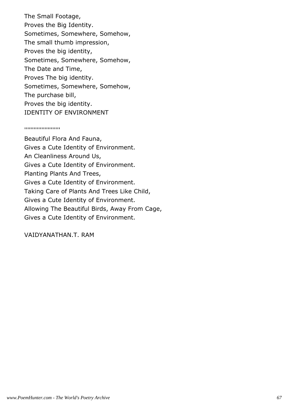The Small Footage, Proves the Big Identity. Sometimes, Somewhere, Somehow, The small thumb impression, Proves the big identity, Sometimes, Somewhere, Somehow, The Date and Time, Proves The big identity. Sometimes, Somewhere, Somehow, The purchase bill, Proves the big identity. IDENTITY OF ENVIRONMENT

#### '''''''''''''''''''''''

Beautiful Flora And Fauna, Gives a Cute Identity of Environment. An Cleanliness Around Us, Gives a Cute Identity of Environment. Planting Plants And Trees, Gives a Cute Identity of Environment. Taking Care of Plants And Trees Like Child, Gives a Cute Identity of Environment. Allowing The Beautiful Birds, Away From Cage, Gives a Cute Identity of Environment.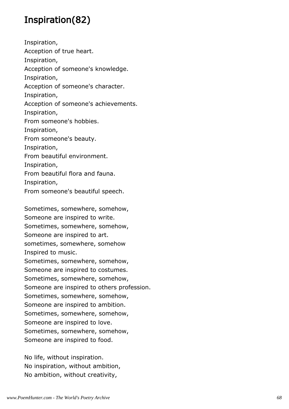#### Inspiration(82)

Inspiration, Acception of true heart. Inspiration, Acception of someone's knowledge. Inspiration, Acception of someone's character. Inspiration, Acception of someone's achievements. Inspiration, From someone's hobbies. Inspiration, From someone's beauty. Inspiration, From beautiful environment. Inspiration, From beautiful flora and fauna. Inspiration,

From someone's beautiful speech.

Sometimes, somewhere, somehow, Someone are inspired to write. Sometimes, somewhere, somehow, Someone are inspired to art. sometimes, somewhere, somehow Inspired to music. Sometimes, somewhere, somehow, Someone are inspired to costumes. Sometimes, somewhere, somehow, Someone are inspired to others profession. Sometimes, somewhere, somehow, Someone are inspired to ambition. Sometimes, somewhere, somehow, Someone are inspired to love. Sometimes, somewhere, somehow, Someone are inspired to food.

No life, without inspiration. No inspiration, without ambition, No ambition, without creativity,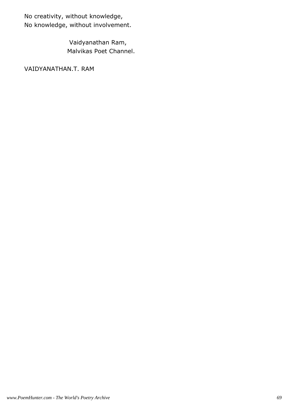No creativity, without knowledge, No knowledge, without involvement.

> Vaidyanathan Ram, Malvikas Poet Channel.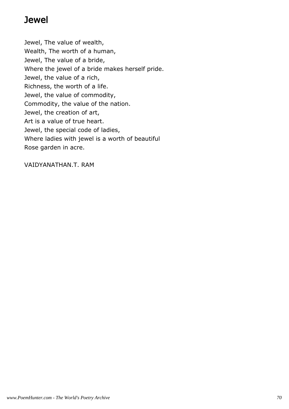#### Jewel

Jewel, The value of wealth, Wealth, The worth of a human, Jewel, The value of a bride, Where the jewel of a bride makes herself pride. Jewel, the value of a rich, Richness, the worth of a life. Jewel, the value of commodity, Commodity, the value of the nation. Jewel, the creation of art, Art is a value of true heart. Jewel, the special code of ladies, Where ladies with jewel is a worth of beautiful Rose garden in acre.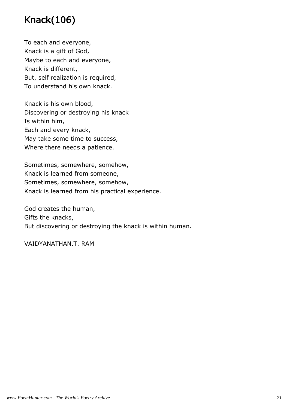## Knack(106)

To each and everyone, Knack is a gift of God, Maybe to each and everyone, Knack is different, But, self realization is required, To understand his own knack.

Knack is his own blood, Discovering or destroying his knack Is within him, Each and every knack, May take some time to success, Where there needs a patience.

Sometimes, somewhere, somehow, Knack is learned from someone, Sometimes, somewhere, somehow, Knack is learned from his practical experience.

God creates the human, Gifts the knacks, But discovering or destroying the knack is within human.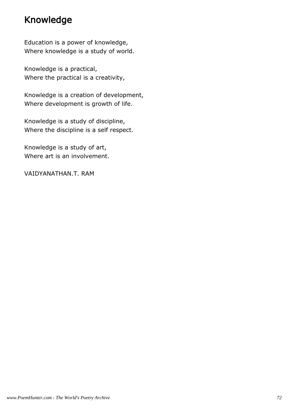### Knowledge

Education is a power of knowledge, Where knowledge is a study of world.

Knowledge is a practical, Where the practical is a creativity,

Knowledge is a creation of development, Where development is growth of life.

Knowledge is a study of discipline, Where the discipline is a self respect.

Knowledge is a study of art, Where art is an involvement.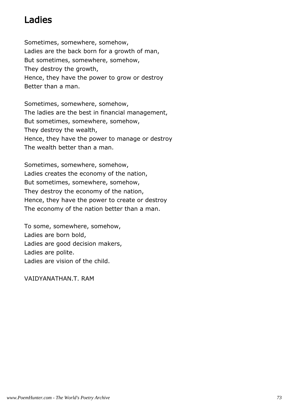### Ladies

Sometimes, somewhere, somehow, Ladies are the back born for a growth of man, But sometimes, somewhere, somehow, They destroy the growth, Hence, they have the power to grow or destroy Better than a man.

Sometimes, somewhere, somehow, The ladies are the best in financial management, But sometimes, somewhere, somehow, They destroy the wealth, Hence, they have the power to manage or destroy The wealth better than a man.

Sometimes, somewhere, somehow, Ladies creates the economy of the nation, But sometimes, somewhere, somehow, They destroy the economy of the nation, Hence, they have the power to create or destroy The economy of the nation better than a man.

To some, somewhere, somehow, Ladies are born bold, Ladies are good decision makers, Ladies are polite. Ladies are vision of the child.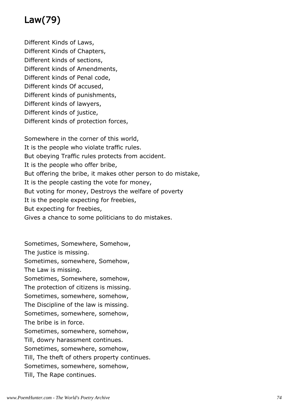# Law(79)

Different Kinds of Laws, Different Kinds of Chapters, Different kinds of sections, Different kinds of Amendments, Different kinds of Penal code, Different kinds Of accused, Different kinds of punishments, Different kinds of lawyers, Different kinds of justice, Different kinds of protection forces,

Somewhere in the corner of this world, It is the people who violate traffic rules. But obeying Traffic rules protects from accident. It is the people who offer bribe, But offering the bribe, it makes other person to do mistake, It is the people casting the vote for money, But voting for money, Destroys the welfare of poverty It is the people expecting for freebies, But expecting for freebies, Gives a chance to some politicians to do mistakes.

Sometimes, Somewhere, Somehow, The justice is missing. Sometimes, somewhere, Somehow, The Law is missing. Sometimes, Somewhere, somehow, The protection of citizens is missing. Sometimes, somewhere, somehow, The Discipline of the law is missing. Sometimes, somewhere, somehow, The bribe is in force. Sometimes, somewhere, somehow, Till, dowry harassment continues. Sometimes, somewhere, somehow, Till, The theft of others property continues. Sometimes, somewhere, somehow, Till, The Rape continues.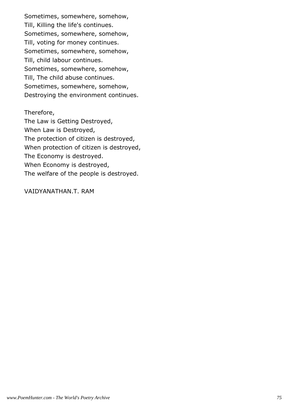Sometimes, somewhere, somehow, Till, Killing the life's continues. Sometimes, somewhere, somehow, Till, voting for money continues. Sometimes, somewhere, somehow, Till, child labour continues. Sometimes, somewhere, somehow, Till, The child abuse continues. Sometimes, somewhere, somehow, Destroying the environment continues.

#### Therefore,

The Law is Getting Destroyed, When Law is Destroyed, The protection of citizen is destroyed, When protection of citizen is destroyed, The Economy is destroyed. When Economy is destroyed, The welfare of the people is destroyed.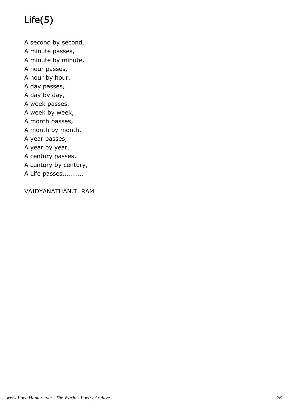# Life(5)

A second by second, A minute passes, A minute by minute, A hour passes, A hour by hour, A day passes, A day by day, A week passes, A week by week, A month passes, A month by month, A year passes, A year by year, A century passes, A century by century, A Life passes..........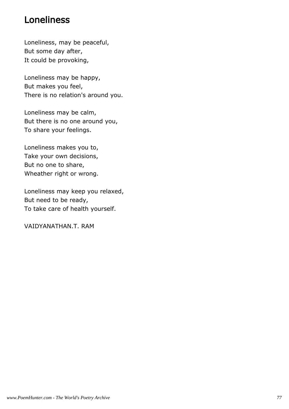#### Loneliness

Loneliness, may be peaceful, But some day after, It could be provoking,

Loneliness may be happy, But makes you feel, There is no relation's around you.

Loneliness may be calm, But there is no one around you, To share your feelings.

Loneliness makes you to, Take your own decisions, But no one to share, Wheather right or wrong.

Loneliness may keep you relaxed, But need to be ready, To take care of health yourself.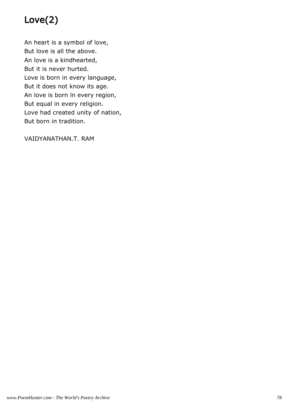# Love(2)

An heart is a symbol of love, But love is all the above. An love is a kindhearted, But it is never hurted. Love is born in every language, But it does not know its age. An love is born ln every region, But equal in every religion. Love had created unity of nation, But born in tradition.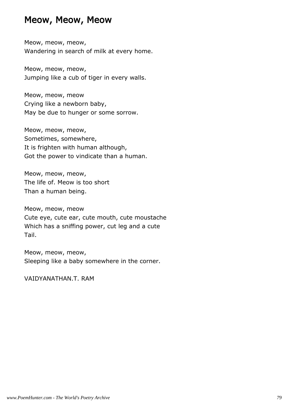#### Meow, Meow, Meow

Meow, meow, meow, Wandering in search of milk at every home.

Meow, meow, meow, Jumping like a cub of tiger in every walls.

Meow, meow, meow Crying like a newborn baby, May be due to hunger or some sorrow.

Meow, meow, meow, Sometimes, somewhere, It is frighten with human although, Got the power to vindicate than a human.

Meow, meow, meow, The life of. Meow is too short Than a human being.

Meow, meow, meow Cute eye, cute ear, cute mouth, cute moustache Which has a sniffing power, cut leg and a cute Tail.

Meow, meow, meow, Sleeping like a baby somewhere in the corner.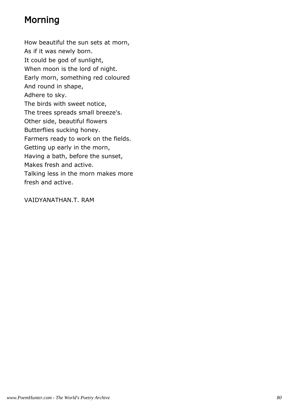# Morning

How beautiful the sun sets at morn, As if it was newly born. It could be god of sunlight, When moon is the lord of night. Early morn, something red coloured And round in shape, Adhere to sky. The birds with sweet notice, The trees spreads small breeze's. Other side, beautiful flowers Butterflies sucking honey. Farmers ready to work on the fields. Getting up early in the morn, Having a bath, before the sunset, Makes fresh and active. Talking less in the morn makes more fresh and active.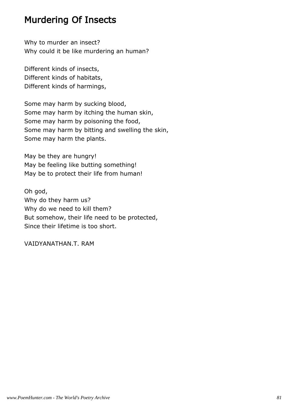### Murdering Of Insects

Why to murder an insect? Why could it be like murdering an human?

Different kinds of insects, Different kinds of habitats, Different kinds of harmings,

Some may harm by sucking blood, Some may harm by itching the human skin, Some may harm by poisoning the food, Some may harm by bitting and swelling the skin, Some may harm the plants.

May be they are hungry! May be feeling like butting something! May be to protect their life from human!

Oh god, Why do they harm us? Why do we need to kill them? But somehow, their life need to be protected, Since their lifetime is too short.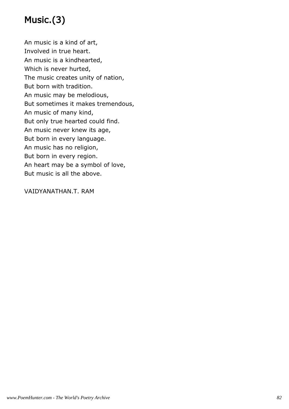# Music.(3)

An music is a kind of art, Involved in true heart. An music is a kindhearted, Which is never hurted, The music creates unity of nation, But born with tradition. An music may be melodious, But sometimes it makes tremendous, An music of many kind, But only true hearted could find. An music never knew its age, But born in every language. An music has no religion, But born in every region. An heart may be a symbol of love, But music is all the above.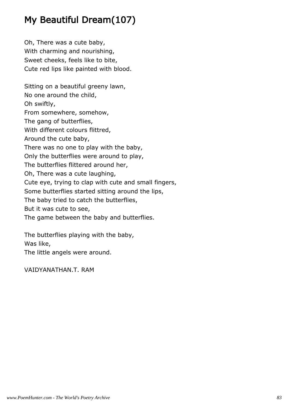# My Beautiful Dream(107)

Oh, There was a cute baby, With charming and nourishing, Sweet cheeks, feels like to bite, Cute red lips like painted with blood. Sitting on a beautiful greeny lawn, No one around the child, Oh swiftly, From somewhere, somehow, The gang of butterflies, With different colours flittred, Around the cute baby, There was no one to play with the baby, Only the butterflies were around to play, The butterflies flittered around her, Oh, There was a cute laughing, Cute eye, trying to clap with cute and small fingers, Some butterflies started sitting around the lips, The baby tried to catch the butterflies, But it was cute to see, The game between the baby and butterflies.

The butterflies playing with the baby, Was like, The little angels were around.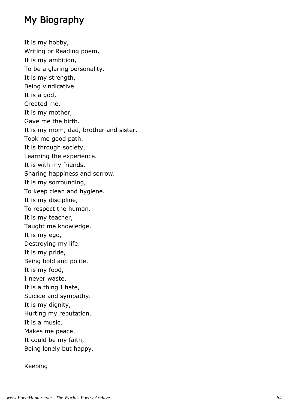# My Biography

It is my hobby, Writing or Reading poem. It is my ambition, To be a glaring personality. It is my strength, Being vindicative. It is a god, Created me. It is my mother, Gave me the birth. It is my mom, dad, brother and sister, Took me good path. It is through society, Learning the experience. It is with my friends, Sharing happiness and sorrow. It is my sorrounding, To keep clean and hygiene. It is my discipline, To respect the human. It is my teacher, Taught me knowledge. It is my ego, Destroying my life. It is my pride, Being bold and polite. It is my food, I never waste. It is a thing I hate, Suicide and sympathy. It is my dignity, Hurting my reputation. It is a music, Makes me peace. It could be my faith, Being lonely but happy.

Keeping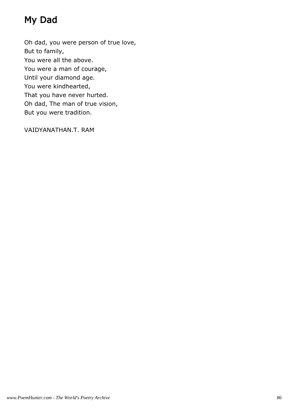# My Dad

Oh dad, you were person of true love, But to family, You were all the above. You were a man of courage, Until your diamond age. You were kindhearted, That you have never hurted. Oh dad, The man of true vision, But you were tradition.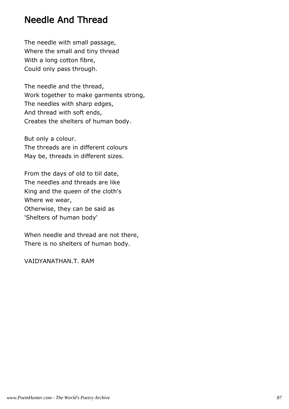#### Needle And Thread

The needle with small passage, Where the small and tiny thread With a long cotton fibre, Could only pass through.

The needle and the thread, Work together to make garments strong, The needles with sharp edges, And thread with soft ends, Creates the shelters of human body.

But only a colour. The threads are in different colours May be, threads in different sizes.

From the days of old to tiil date, The needles and threads are like King and the queen of the cloth's Where we wear, Otherwise, they can be said as 'Shelters of human body'

When needle and thread are not there, There is no shelters of human body.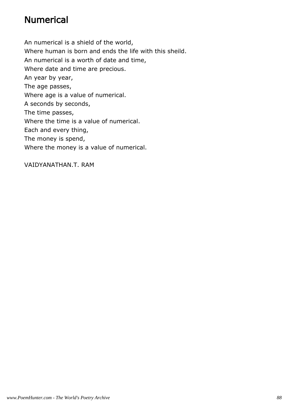### Numerical

An numerical is a shield of the world, Where human is born and ends the life with this sheild. An numerical is a worth of date and time, Where date and time are precious. An year by year, The age passes, Where age is a value of numerical. A seconds by seconds, The time passes, Where the time is a value of numerical. Each and every thing, The money is spend, Where the money is a value of numerical.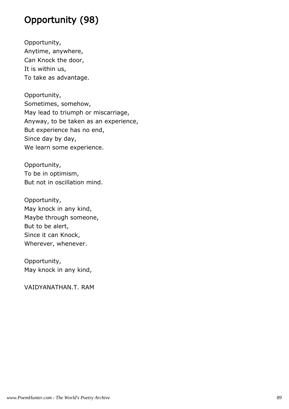# Opportunity (98)

Opportunity, Anytime, anywhere, Can Knock the door, It is within us, To take as advantage.

Opportunity, Sometimes, somehow, May lead to triumph or miscarriage, Anyway, to be taken as an experience, But experience has no end, Since day by day, We learn some experience.

Opportunity, To be in optimism, But not in oscillation mind.

Opportunity, May knock in any kind, Maybe through someone, But to be alert, Since it can Knock, Wherever, whenever.

Opportunity, May knock in any kind,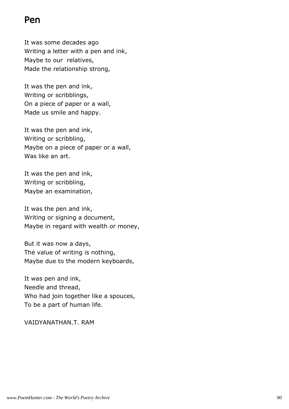### Pen

It was some decades ago Writing a letter with a pen and ink, Maybe to our relatives, Made the relationship strong,

It was the pen and ink, Writing or scribblings, On a piece of paper or a wall, Made us smile and happy.

It was the pen and ink, Writing or scribbling, Maybe on a piece of paper or a wall, Was like an art.

It was the pen and ink, Writing or scribbling, Maybe an examination,

It was the pen and ink, Writing or signing a document, Maybe in regard with wealth or money,

But it was now a days, The value of writing is nothing, Maybe due to the modern keyboards,

It was pen and ink, Needle and thread, Who had join together like a spouces, To be a part of human life.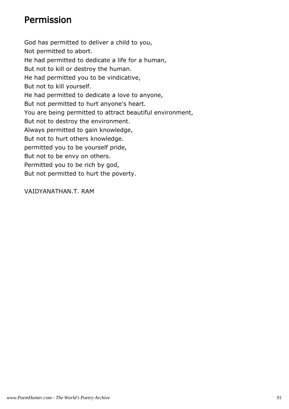### Permission

God has permitted to deliver a child to you, Not permitted to abort. He had permitted to dedicate a life for a human, But not to kill or destroy the human. He had permitted you to be vindicative, But not to kill yourself. He had permitted to dedicate a love to anyone, But not permitted to hurt anyone's heart. You are being permitted to attract beautiful environment, But not to destroy the environment. Always permitted to gain knowledge, But not to hurt others knowledge. permitted you to be yourself pride, But not to be envy on others. Permitted you to be rich by god, But not permitted to hurt the poverty.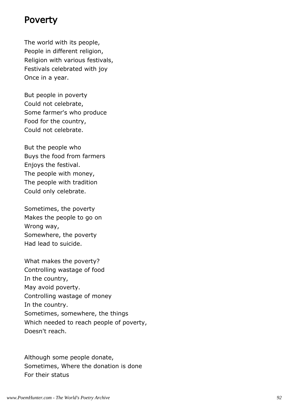#### Poverty

The world with its people, People in different religion, Religion with various festivals, Festivals celebrated with joy Once in a year.

But people in poverty Could not celebrate, Some farmer's who produce Food for the country, Could not celebrate.

But the people who Buys the food from farmers Enjoys the festival. The people with money, The people with tradition Could only celebrate.

Sometimes, the poverty Makes the people to go on Wrong way, Somewhere, the poverty Had lead to suicide.

What makes the poverty? Controlling wastage of food In the country, May avoid poverty. Controlling wastage of money In the country. Sometimes, somewhere, the things Which needed to reach people of poverty, Doesn't reach.

Although some people donate, Sometimes, Where the donation is done For their status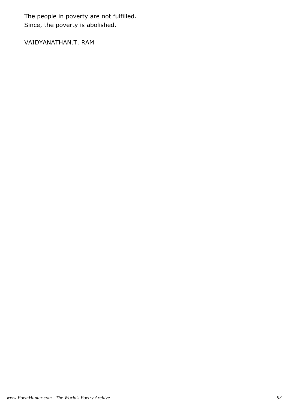The people in poverty are not fulfilled. Since, the poverty is abolished.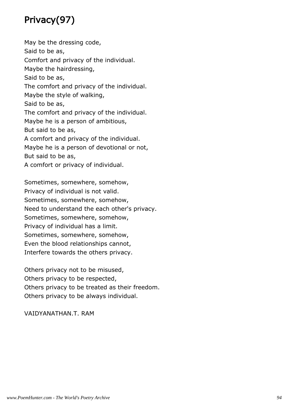# Privacy(97)

May be the dressing code, Said to be as, Comfort and privacy of the individual. Maybe the hairdressing, Said to be as, The comfort and privacy of the individual. Maybe the style of walking, Said to be as, The comfort and privacy of the individual. Maybe he is a person of ambitious, But said to be as, A comfort and privacy of the individual. Maybe he is a person of devotional or not, But said to be as, A comfort or privacy of individual.

Sometimes, somewhere, somehow, Privacy of individual is not valid. Sometimes, somewhere, somehow, Need to understand the each other's privacy. Sometimes, somewhere, somehow, Privacy of individual has a limit. Sometimes, somewhere, somehow, Even the blood relationships cannot, Interfere towards the others privacy.

Others privacy not to be misused, Others privacy to be respected, Others privacy to be treated as their freedom. Others privacy to be always individual.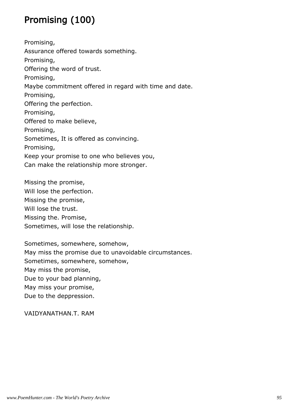# Promising (100)

Promising, Assurance offered towards something. Promising, Offering the word of trust. Promising, Maybe commitment offered in regard with time and date. Promising, Offering the perfection. Promising, Offered to make believe, Promising, Sometimes, It is offered as convincing. Promising, Keep your promise to one who believes you, Can make the relationship more stronger.

Missing the promise, Will lose the perfection. Missing the promise, Will lose the trust. Missing the. Promise, Sometimes, will lose the relationship.

Sometimes, somewhere, somehow, May miss the promise due to unavoidable circumstances. Sometimes, somewhere, somehow, May miss the promise, Due to your bad planning, May miss your promise, Due to the deppression.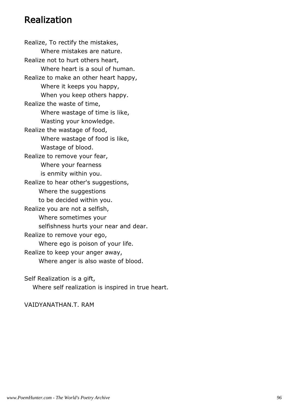#### Realization

Realize, To rectify the mistakes, Where mistakes are nature. Realize not to hurt others heart, Where heart is a soul of human. Realize to make an other heart happy, Where it keeps you happy, When you keep others happy. Realize the waste of time, Where wastage of time is like, Wasting your knowledge. Realize the wastage of food, Where wastage of food is like, Wastage of blood. Realize to remove your fear, Where your fearness is enmity within you. Realize to hear other's suggestions, Where the suggestions to be decided within you. Realize you are not a selfish, Where sometimes your selfishness hurts your near and dear. Realize to remove your ego, Where ego is poison of your life. Realize to keep your anger away, Where anger is also waste of blood.

Self Realization is a gift,

Where self realization is inspired in true heart.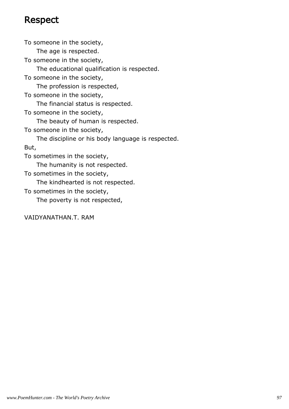### Respect

To someone in the society, The age is respected. To someone in the society, The educational qualification is respected. To someone in the society, The profession is respected, To someone in the society, The financial status is respected. To someone in the society, The beauty of human is respected. To someone in the society, The discipline or his body language is respected. But, To sometimes in the society, The humanity is not respected. To sometimes in the society, The kindhearted is not respected. To sometimes in the society, The poverty is not respected,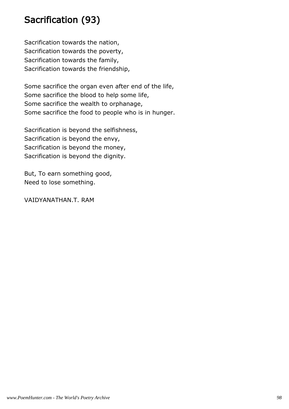### Sacrification (93)

Sacrification towards the nation, Sacrification towards the poverty, Sacrification towards the family, Sacrification towards the friendship,

Some sacrifice the organ even after end of the life, Some sacrifice the blood to help some life, Some sacrifice the wealth to orphanage, Some sacrifice the food to people who is in hunger.

Sacrification is beyond the selfishness, Sacrification is beyond the envy, Sacrification is beyond the money, Sacrification is beyond the dignity.

But, To earn something good, Need to lose something.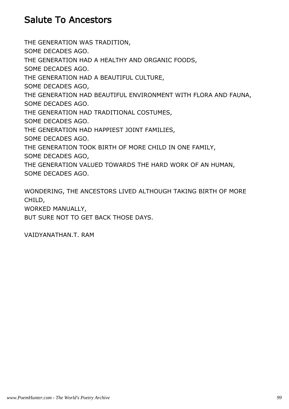#### Salute To Ancestors

THE GENERATION WAS TRADITION, SOME DECADES AGO. THE GENERATION HAD A HEALTHY AND ORGANIC FOODS, SOME DECADES AGO. THE GENERATION HAD A BEAUTIFUL CULTURE, SOME DECADES AGO, THE GENERATION HAD BEAUTIFUL ENVIRONMENT WITH FLORA AND FAUNA, SOME DECADES AGO. THE GENERATION HAD TRADITIONAL COSTUMES, SOME DECADES AGO. THE GENERATION HAD HAPPIEST JOINT FAMILIES, SOME DECADES AGO. THE GENERATION TOOK BIRTH OF MORE CHILD IN ONE FAMILY, SOME DECADES AGO, THE GENERATION VALUED TOWARDS THE HARD WORK OF AN HUMAN, SOME DECADES AGO.

WONDERING, THE ANCESTORS LIVED ALTHOUGH TAKING BIRTH OF MORE CHILD, WORKED MANUALLY,

BUT SURE NOT TO GET BACK THOSE DAYS.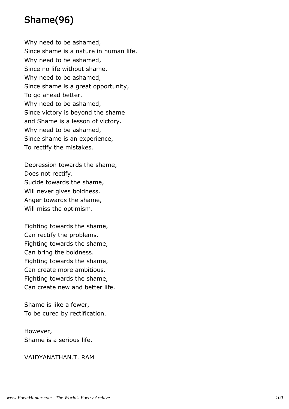# Shame(96)

Why need to be ashamed, Since shame is a nature in human life. Why need to be ashamed, Since no life without shame. Why need to be ashamed, Since shame is a great opportunity, To go ahead better. Why need to be ashamed, Since victory is beyond the shame and Shame is a lesson of victory. Why need to be ashamed, Since shame is an experience, To rectify the mistakes.

Depression towards the shame, Does not rectify. Sucide towards the shame, Will never gives boldness. Anger towards the shame, Will miss the optimism.

Fighting towards the shame, Can rectify the problems. Fighting towards the shame, Can bring the boldness. Fighting towards the shame, Can create more ambitious. Fighting towards the shame, Can create new and better life.

Shame is like a fewer, To be cured by rectification.

However, Shame is a serious life.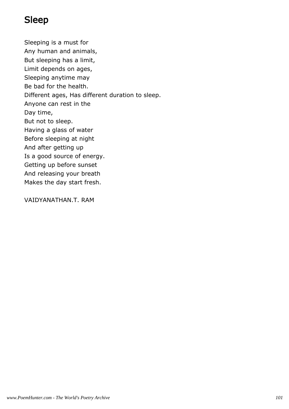# Sleep

Sleeping is a must for Any human and animals, But sleeping has a limit, Limit depends on ages, Sleeping anytime may Be bad for the health. Different ages, Has different duration to sleep. Anyone can rest in the Day time, But not to sleep. Having a glass of water Before sleeping at night And after getting up Is a good source of energy. Getting up before sunset And releasing your breath Makes the day start fresh.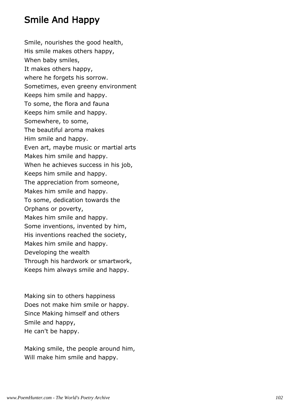### Smile And Happy

Smile, nourishes the good health, His smile makes others happy, When baby smiles, It makes others happy, where he forgets his sorrow. Sometimes, even greeny environment Keeps him smile and happy. To some, the flora and fauna Keeps him smile and happy. Somewhere, to some, The beautiful aroma makes Him smile and happy. Even art, maybe music or martial arts Makes him smile and happy. When he achieves success in his job, Keeps him smile and happy. The appreciation from someone, Makes him smile and happy. To some, dedication towards the Orphans or poverty, Makes him smile and happy. Some inventions, invented by him, His inventions reached the society, Makes him smile and happy. Developing the wealth Through his hardwork or smartwork, Keeps him always smile and happy.

Making sin to others happiness Does not make him smile or happy. Since Making himself and others Smile and happy, He can't be happy.

Making smile, the people around him, Will make him smile and happy.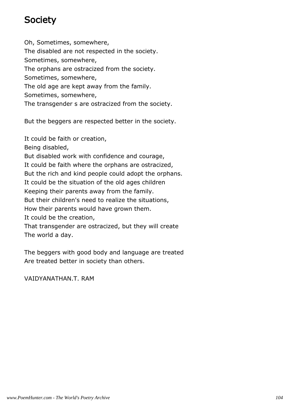## **Society**

Oh, Sometimes, somewhere, The disabled are not respected in the society. Sometimes, somewhere, The orphans are ostracized from the society. Sometimes, somewhere, The old age are kept away from the family. Sometimes, somewhere, The transgender s are ostracized from the society.

But the beggers are respected better in the society.

It could be faith or creation,

Being disabled,

But disabled work with confidence and courage,

It could be faith where the orphans are ostracized,

But the rich and kind people could adopt the orphans.

It could be the situation of the old ages children

Keeping their parents away from the family.

But their children's need to realize the situations,

How their parents would have grown them.

It could be the creation,

That transgender are ostracized, but they will create The world a day.

The beggers with good body and language are treated Are treated better in society than others.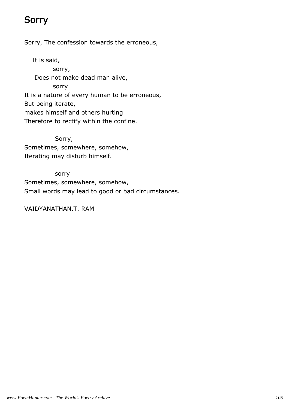# **Sorry**

Sorry, The confession towards the erroneous,

 It is said, sorry, Does not make dead man alive, sorry It is a nature of every human to be erroneous, But being iterate, makes himself and others hurting Therefore to rectify within the confine.

 Sorry, Sometimes, somewhere, somehow, Iterating may disturb himself.

 sorry Sometimes, somewhere, somehow, Small words may lead to good or bad circumstances.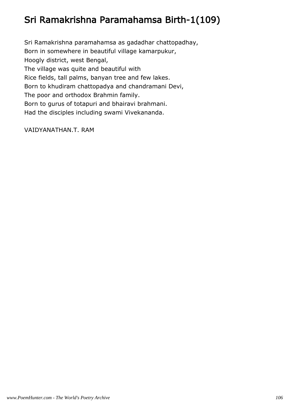# Sri Ramakrishna Paramahamsa Birth-1(109)

Sri Ramakrishna paramahamsa as gadadhar chattopadhay, Born in somewhere in beautiful village kamarpukur, Hoogly district, west Bengal, The village was quite and beautiful with Rice fields, tall palms, banyan tree and few lakes. Born to khudiram chattopadya and chandramani Devi, The poor and orthodox Brahmin family. Born to gurus of totapuri and bhairavi brahmani. Had the disciples including swami Vivekananda.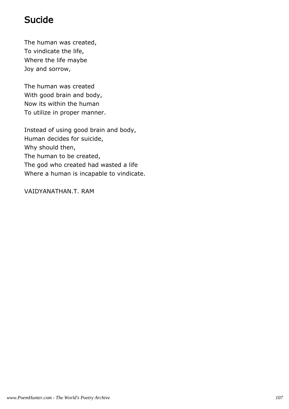## Sucide

The human was created, To vindicate the life, Where the life maybe Joy and sorrow,

The human was created With good brain and body, Now its within the human To utilize in proper manner.

Instead of using good brain and body, Human decides for suicide, Why should then, The human to be created, The god who created had wasted a life Where a human is incapable to vindicate.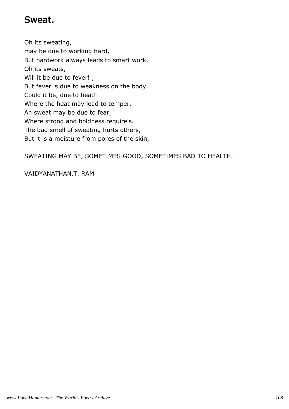#### Sweat.

Oh its sweating, may be due to working hard, But hardwork always leads to smart work. Oh its sweats, Will it be due to fever!, But fever is due to weakness on the body. Could it be, due to heat! Where the heat may lead to temper. An sweat may be due to fear, Where strong and boldness require's. The bad smell of sweating hurts others, But it is a moisture from pores of the skin,

SWEATING MAY BE, SOMETIMES GOOD, SOMETIMES BAD TO HEALTH.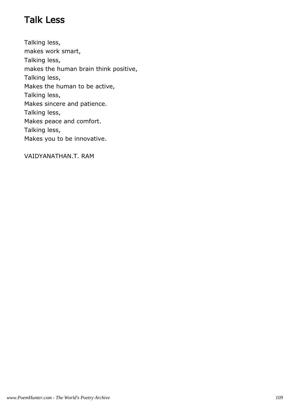#### Talk Less

Talking less, makes work smart, Talking less, makes the human brain think positive, Talking less, Makes the human to be active, Talking less, Makes sincere and patience. Talking less, Makes peace and comfort. Talking less, Makes you to be innovative.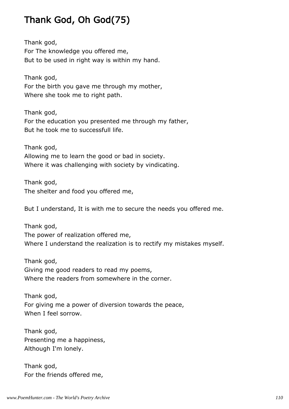#### Thank God, Oh God(75)

Thank god, For The knowledge you offered me, But to be used in right way is within my hand.

Thank god, For the birth you gave me through my mother, Where she took me to right path.

Thank god, For the education you presented me through my father, But he took me to successfull life.

Thank god, Allowing me to learn the good or bad in society. Where it was challenging with society by vindicating.

Thank god, The shelter and food you offered me,

But I understand, It is with me to secure the needs you offered me.

Thank god, The power of realization offered me, Where I understand the realization is to rectify my mistakes myself.

Thank god, Giving me good readers to read my poems, Where the readers from somewhere in the corner.

Thank god, For giving me a power of diversion towards the peace, When I feel sorrow.

Thank god, Presenting me a happiness, Although I'm lonely.

Thank god, For the friends offered me,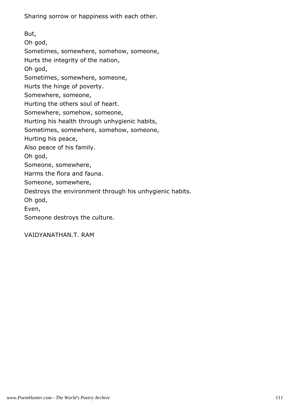Sharing sorrow or happiness with each other.

But, Oh god, Sometimes, somewhere, somehow, someone, Hurts the integrity of the nation, Oh god, Sometimes, somewhere, someone, Hurts the hinge of poverty. Somewhere, someone, Hurting the others soul of heart. Somewhere, somehow, someone, Hurting his health through unhygienic habits, Sometimes, somewhere, somehow, someone, Hurting his peace, Also peace of his family. Oh god, Someone, somewhere, Harms the flora and fauna. Someone, somewhere, Destroys the environment through his unhygienic habits. Oh god, Even, Someone destroys the culture.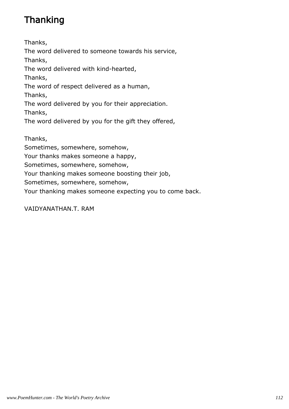# Thanking

Thanks, The word delivered to someone towards his service, Thanks, The word delivered with kind-hearted, Thanks, The word of respect delivered as a human, Thanks, The word delivered by you for their appreciation. Thanks, The word delivered by you for the gift they offered, Thanks,

Sometimes, somewhere, somehow,

Your thanks makes someone a happy,

Sometimes, somewhere, somehow,

Your thanking makes someone boosting their job,

Sometimes, somewhere, somehow,

Your thanking makes someone expecting you to come back.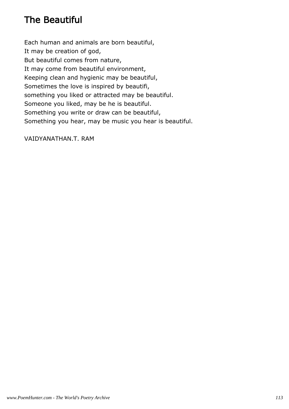#### The Beautiful

Each human and animals are born beautiful, It may be creation of god, But beautiful comes from nature, It may come from beautiful environment, Keeping clean and hygienic may be beautiful, Sometimes the love is inspired by beautifi, something you liked or attracted may be beautiful. Someone you liked, may be he is beautiful. Something you write or draw can be beautiful, Something you hear, may be music you hear is beautiful.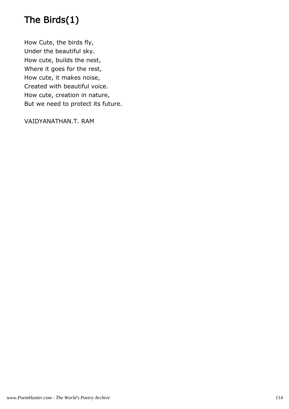# The Birds(1)

How Cute, the birds fly, Under the beautiful sky. How cute, builds the nest, Where it goes for the rest, How cute, it makes noise, Created with beautiful voice. How cute, creation in nature, But we need to protect its future.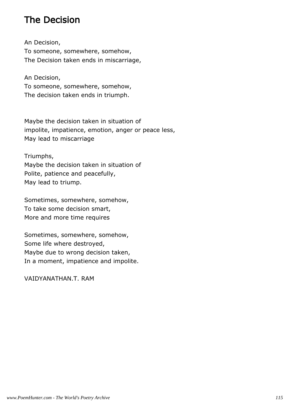#### The Decision

An Decision, To someone, somewhere, somehow, The Decision taken ends in miscarriage,

An Decision, To someone, somewhere, somehow, The decision taken ends in triumph.

Maybe the decision taken in situation of impolite, impatience, emotion, anger or peace less, May lead to miscarriage

Triumphs,

Maybe the decision taken in situation of Polite, patience and peacefully, May lead to triump.

Sometimes, somewhere, somehow, To take some decision smart, More and more time requires

Sometimes, somewhere, somehow, Some life where destroyed, Maybe due to wrong decision taken, In a moment, impatience and impolite.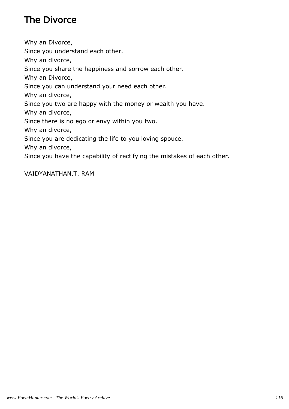# The Divorce

Why an Divorce, Since you understand each other. Why an divorce, Since you share the happiness and sorrow each other. Why an Divorce, Since you can understand your need each other. Why an divorce, Since you two are happy with the money or wealth you have. Why an divorce, Since there is no ego or envy within you two. Why an divorce, Since you are dedicating the life to you loving spouce. Why an divorce, Since you have the capability of rectifying the mistakes of each other.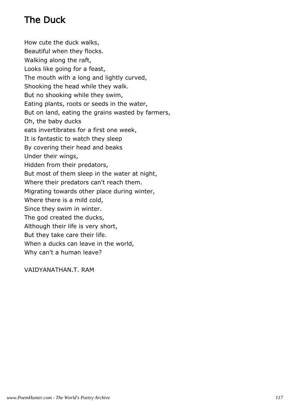# The Duck

How cute the duck walks, Beautiful when they flocks. Walking along the raft, Looks like going for a feast, The mouth with a long and lightly curved, Shooking the head while they walk. But no shooking while they swim, Eating plants, roots or seeds in the water, But on land, eating the grains wasted by farmers, Oh, the baby ducks eats invertibrates for a first one week, It is fantastic to watch they sleep By covering their head and beaks Under their wings, Hidden from their predators, But most of them sleep in the water at night, Where their predators can't reach them. Migrating towards other place during winter, Where there is a mild cold, Since they swim in winter. The god created the ducks, Although their life is very short, But they take care their life. When a ducks can leave in the world, Why can't a human leave?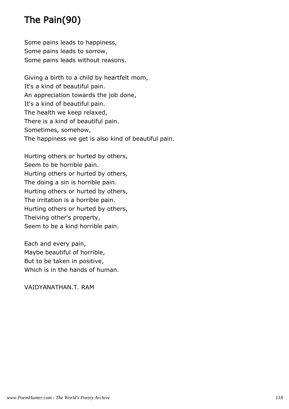# The Pain(90)

Some pains leads to happiness, Some pains leads to sorrow, Some pains leads without reasons.

Giving a birth to a child by heartfelt mom, It's a kind of beautiful pain. An appreciation towards the job done, It's a kind of beautiful pain. The health we keep relaxed, There is a kind of beautiful pain. Sometimes, somehow, The happiness we get is also kind of beautiful pain.

Hurting others or hurted by others, Seem to be horrible pain. Hurting others or hurted by others, The doing a sin is horrible pain. Hurting others or hurted by others, The irritation is a horrible pain. Hurting others or hurted by others, Theiving other's property, Seem to be a kind horrible pain.

Each and every pain, Maybe beautiful of horrible, But to be taken in positive, Which is in the hands of human.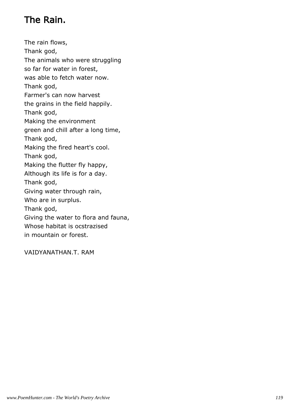# The Rain.

The rain flows, Thank god, The animals who were struggling so far for water in forest, was able to fetch water now. Thank god, Farmer's can now harvest the grains in the field happily. Thank god, Making the environment green and chill after a long time, Thank god, Making the fired heart's cool. Thank god, Making the flutter fly happy, Although its life is for a day. Thank god, Giving water through rain, Who are in surplus. Thank god, Giving the water to flora and fauna, Whose habitat is ocstrazised in mountain or forest.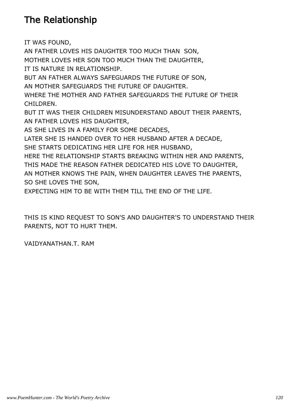#### The Relationship

IT WAS FOUND, AN FATHER LOVES HIS DAUGHTER TOO MUCH THAN SON, MOTHER LOVES HER SON TOO MUCH THAN THE DAUGHTER, IT IS NATURE IN RELATIONSHIP. BUT AN FATHER ALWAYS SAFEGUARDS THE FUTURE OF SON, AN MOTHER SAFEGUARDS THE FUTURE OF DAUGHTER. WHERE THE MOTHER AND FATHER SAFEGUARDS THE FUTURE OF THEIR CHILDREN. BUT IT WAS THEIR CHILDREN MISUNDERSTAND ABOUT THEIR PARENTS, AN FATHER LOVES HIS DAUGHTER, AS SHE LIVES IN A FAMILY FOR SOME DECADES, LATER SHE IS HANDED OVER TO HER HUSBAND AFTER A DECADE, SHE STARTS DEDICATING HER LIFE FOR HER HUSBAND, HERE THE RELATIONSHIP STARTS BREAKING WITHIN HER AND PARENTS, THIS MADE THE REASON FATHER DEDICATED HIS LOVE TO DAUGHTER, AN MOTHER KNOWS THE PAIN, WHEN DAUGHTER LEAVES THE PARENTS, SO SHE LOVES THE SON,

EXPECTING HIM TO BE WITH THEM TILL THE END OF THE LIFE.

THIS IS KIND REQUEST TO SON'S AND DAUGHTER'S TO UNDERSTAND THEIR PARENTS, NOT TO HURT THEM.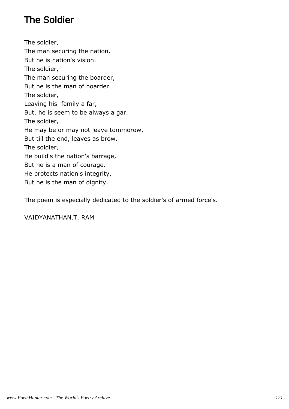# The Soldier

The soldier, The man securing the nation. But he is nation's vision. The soldier, The man securing the boarder, But he is the man of hoarder. The soldier, Leaving his family a far, But, he is seem to be always a gar. The soldier, He may be or may not leave tommorow, But till the end, leaves as brow. The soldier, He build's the nation's barrage, But he is a man of courage. He protects nation's integrity, But he is the man of dignity.

The poem is especially dedicated to the soldier's of armed force's.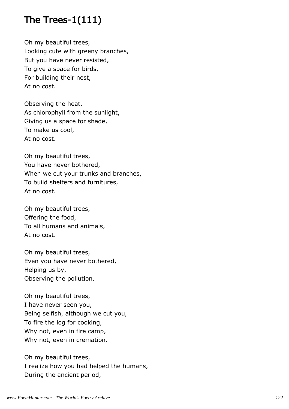# The Trees-1(111)

Oh my beautiful trees, Looking cute with greeny branches, But you have never resisted, To give a space for birds, For building their nest, At no cost.

Observing the heat, As chlorophyll from the sunlight, Giving us a space for shade, To make us cool, At no cost.

Oh my beautiful trees, You have never bothered, When we cut your trunks and branches, To build shelters and furnitures, At no cost.

Oh my beautiful trees, Offering the food, To all humans and animals, At no cost.

Oh my beautiful trees, Even you have never bothered, Helping us by, Observing the pollution.

Oh my beautiful trees, I have never seen you, Being selfish, although we cut you, To fire the log for cooking, Why not, even in fire camp, Why not, even in cremation.

Oh my beautiful trees, I realize how you had helped the humans, During the ancient period,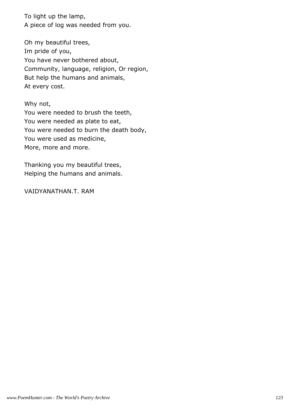To light up the lamp, A piece of log was needed from you.

Oh my beautiful trees, Im pride of you, You have never bothered about, Community, language, religion, Or region, But help the humans and animals, At every cost.

Why not, You were needed to brush the teeth, You were needed as plate to eat, You were needed to burn the death body, You were used as medicine, More, more and more.

Thanking you my beautiful trees, Helping the humans and animals.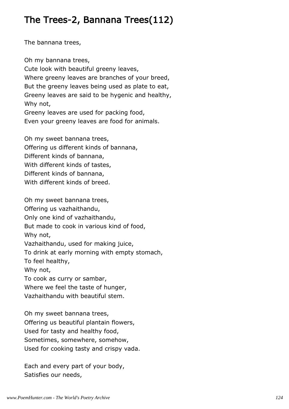#### The Trees-2, Bannana Trees(112)

The bannana trees,

Oh my bannana trees, Cute look with beautiful greeny leaves, Where greeny leaves are branches of your breed, But the greeny leaves being used as plate to eat, Greeny leaves are said to be hygenic and healthy, Why not, Greeny leaves are used for packing food, Even your greeny leaves are food for animals.

Oh my sweet bannana trees, Offering us different kinds of bannana, Different kinds of bannana, With different kinds of tastes, Different kinds of bannana, With different kinds of breed.

Oh my sweet bannana trees, Offering us vazhaithandu, Only one kind of vazhaithandu, But made to cook in various kind of food, Why not, Vazhaithandu, used for making juice, To drink at early morning with empty stomach, To feel healthy, Why not, To cook as curry or sambar, Where we feel the taste of hunger, Vazhaithandu with beautiful stem.

Oh my sweet bannana trees, Offering us beautiful plantain flowers, Used for tasty and healthy food, Sometimes, somewhere, somehow, Used for cooking tasty and crispy vada.

Each and every part of your body, Satisfies our needs,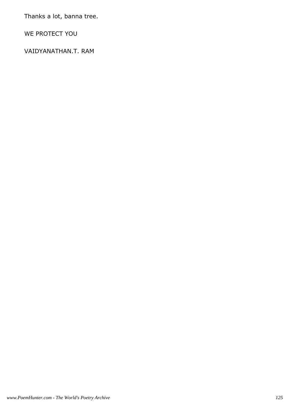Thanks a lot, banna tree.

WE PROTECT YOU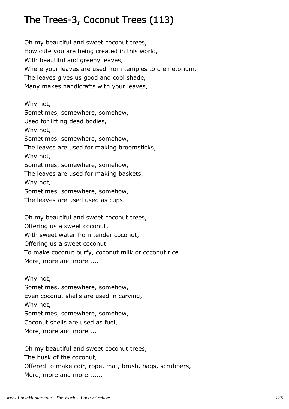# The Trees-3, Coconut Trees (113)

Oh my beautiful and sweet coconut trees, How cute you are being created in this world, With beautiful and greeny leaves, Where your leaves are used from temples to cremetorium, The leaves gives us good and cool shade, Many makes handicrafts with your leaves,

Why not, Sometimes, somewhere, somehow, Used for lifting dead bodies, Why not, Sometimes, somewhere, somehow, The leaves are used for making broomsticks, Why not, Sometimes, somewhere, somehow, The leaves are used for making baskets, Why not, Sometimes, somewhere, somehow, The leaves are used used as cups.

Oh my beautiful and sweet coconut trees, Offering us a sweet coconut, With sweet water from tender coconut, Offering us a sweet coconut To make coconut burfy, coconut milk or coconut rice. More, more and more.....

Why not, Sometimes, somewhere, somehow, Even coconut shells are used in carving, Why not, Sometimes, somewhere, somehow, Coconut shells are used as fuel, More, more and more....

Oh my beautiful and sweet coconut trees, The husk of the coconut, Offered to make coir, rope, mat, brush, bags, scrubbers, More, more and more.......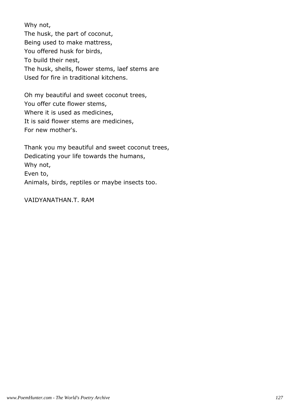Why not, The husk, the part of coconut, Being used to make mattress, You offered husk for birds, To build their nest, The husk, shells, flower stems, laef stems are Used for fire in traditional kitchens.

Oh my beautiful and sweet coconut trees, You offer cute flower stems, Where it is used as medicines, It is said flower stems are medicines, For new mother's.

Thank you my beautiful and sweet coconut trees, Dedicating your life towards the humans, Why not, Even to, Animals, birds, reptiles or maybe insects too.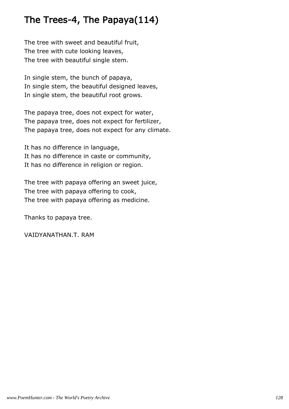#### The Trees-4, The Papaya(114)

The tree with sweet and beautiful fruit, The tree with cute looking leaves, The tree with beautiful single stem.

In single stem, the bunch of papaya, In single stem, the beautiful designed leaves, In single stem, the beautiful root grows.

The papaya tree, does not expect for water, The papaya tree, does not expect for fertilizer, The papaya tree, does not expect for any climate.

It has no difference in language, It has no difference in caste or community, It has no difference in religion or region.

The tree with papaya offering an sweet juice, The tree with papaya offering to cook, The tree with papaya offering as medicine.

Thanks to papaya tree.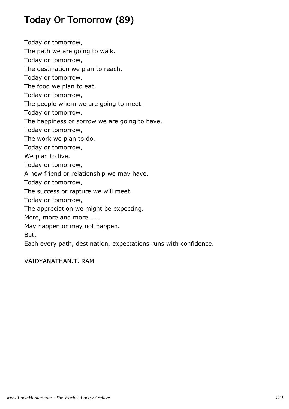# Today Or Tomorrow (89)

Today or tomorrow,

The path we are going to walk.

Today or tomorrow,

The destination we plan to reach,

Today or tomorrow,

The food we plan to eat.

Today or tomorrow,

The people whom we are going to meet.

Today or tomorrow,

The happiness or sorrow we are going to have.

Today or tomorrow,

The work we plan to do,

Today or tomorrow,

We plan to live.

Today or tomorrow,

A new friend or relationship we may have.

Today or tomorrow,

The success or rapture we will meet.

Today or tomorrow,

The appreciation we might be expecting.

More, more and more......

May happen or may not happen.

But,

Each every path, destination, expectations runs with confidence.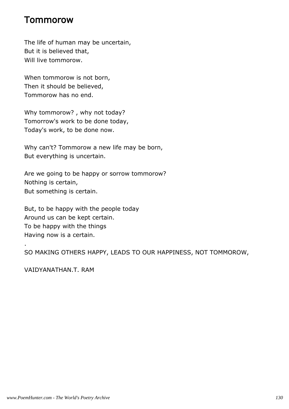#### Tommorow

The life of human may be uncertain, But it is believed that, Will live tommorow.

When tommorow is not born, Then it should be believed, Tommorow has no end.

Why tommorow? , why not today? Tomorrow's work to be done today, Today's work, to be done now.

Why can't? Tommorow a new life may be born, But everything is uncertain.

Are we going to be happy or sorrow tommorow? Nothing is certain, But something is certain.

But, to be happy with the people today Around us can be kept certain. To be happy with the things Having now is a certain.

SO MAKING OTHERS HAPPY, LEADS TO OUR HAPPINESS, NOT TOMMOROW,

VAIDYANATHAN.T. RAM

.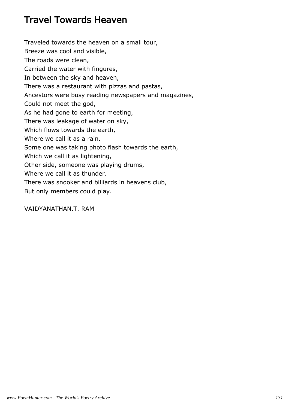#### Travel Towards Heaven

Traveled towards the heaven on a small tour, Breeze was cool and visible, The roads were clean, Carried the water with fingures, In between the sky and heaven, There was a restaurant with pizzas and pastas, Ancestors were busy reading newspapers and magazines, Could not meet the god, As he had gone to earth for meeting, There was leakage of water on sky, Which flows towards the earth, Where we call it as a rain. Some one was taking photo flash towards the earth, Which we call it as lightening, Other side, someone was playing drums, Where we call it as thunder. There was snooker and billiards in heavens club, But only members could play.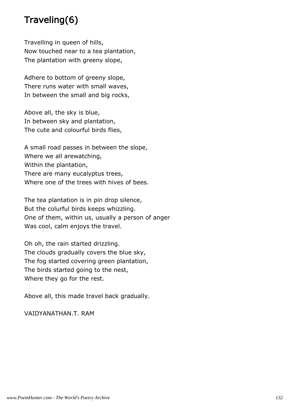#### Traveling(6)

Travelling in queen of hills, Now touched near to a tea plantation, The plantation with greeny slope,

Adhere to bottom of greeny slope, There runs water with small waves, In between the small and big rocks,

Above all, the sky is blue, In between sky and plantation, The cute and colourful birds flies,

A small road passes in between the slope, Where we all arewatching, Within the plantation, There are many eucalyptus trees, Where one of the trees with hives of bees.

The tea plantation is in pin drop silence, But the colurful birds keeps whizzling. One of them, within us, usually a person of anger Was cool, calm enjoys the travel.

Oh oh, the rain started drizzling. The clouds gradually covers the blue sky, The fog started covering green plantation, The birds started going to the nest, Where they go for the rest.

Above all, this made travel back gradually.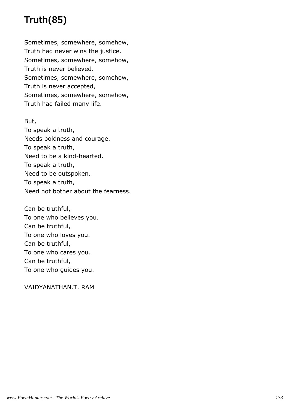# Truth(85)

Sometimes, somewhere, somehow, Truth had never wins the justice. Sometimes, somewhere, somehow, Truth is never believed. Sometimes, somewhere, somehow, Truth is never accepted, Sometimes, somewhere, somehow, Truth had failed many life.

#### But,

To speak a truth, Needs boldness and courage. To speak a truth, Need to be a kind-hearted. To speak a truth, Need to be outspoken. To speak a truth, Need not bother about the fearness.

Can be truthful, To one who believes you. Can be truthful, To one who loves you. Can be truthful, To one who cares you. Can be truthful, To one who guides you.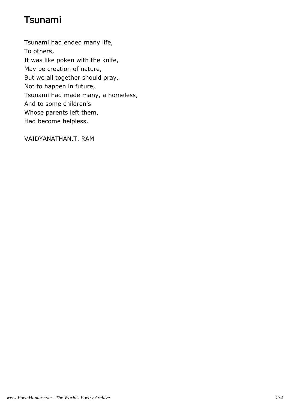# Tsunami

Tsunami had ended many life, To others, It was like poken with the knife, May be creation of nature, But we all together should pray, Not to happen in future, Tsunami had made many, a homeless, And to some children's Whose parents left them, Had become helpless.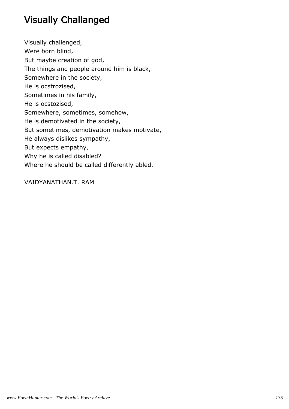# Visually Challanged

Visually challenged, Were born blind, But maybe creation of god, The things and people around him is black, Somewhere in the society, He is ocstrozised, Sometimes in his family, He is ocstozised, Somewhere, sometimes, somehow, He is demotivated in the society, But sometimes, demotivation makes motivate, He always dislikes sympathy, But expects empathy, Why he is called disabled? Where he should be called differently abled.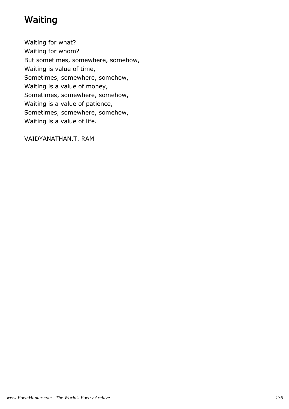#### Waiting

Waiting for what? Waiting for whom? But sometimes, somewhere, somehow, Waiting is value of time, Sometimes, somewhere, somehow, Waiting is a value of money, Sometimes, somewhere, somehow, Waiting is a value of patience, Sometimes, somewhere, somehow, Waiting is a value of life.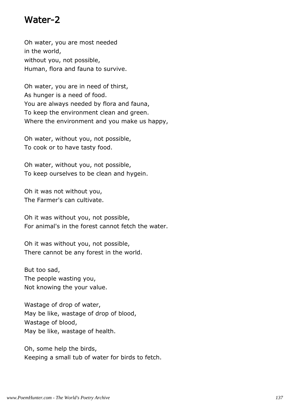#### Water-2

Oh water, you are most needed in the world, without you, not possible, Human, flora and fauna to survive.

Oh water, you are in need of thirst, As hunger is a need of food. You are always needed by flora and fauna, To keep the environment clean and green. Where the environment and you make us happy,

Oh water, without you, not possible, To cook or to have tasty food.

Oh water, without you, not possible, To keep ourselves to be clean and hygein.

Oh it was not without you, The Farmer's can cultivate.

Oh it was without you, not possible, For animal's in the forest cannot fetch the water.

Oh it was without you, not possible, There cannot be any forest in the world.

But too sad, The people wasting you, Not knowing the your value.

Wastage of drop of water, May be like, wastage of drop of blood, Wastage of blood, May be like, wastage of health.

Oh, some help the birds, Keeping a small tub of water for birds to fetch.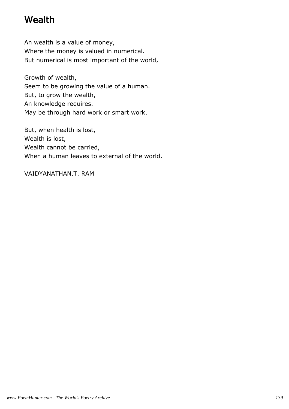#### Wealth

An wealth is a value of money, Where the money is valued in numerical. But numerical is most important of the world,

Growth of wealth, Seem to be growing the value of a human. But, to grow the wealth, An knowledge requires. May be through hard work or smart work.

But, when health is lost, Wealth is lost, Wealth cannot be carried, When a human leaves to external of the world.